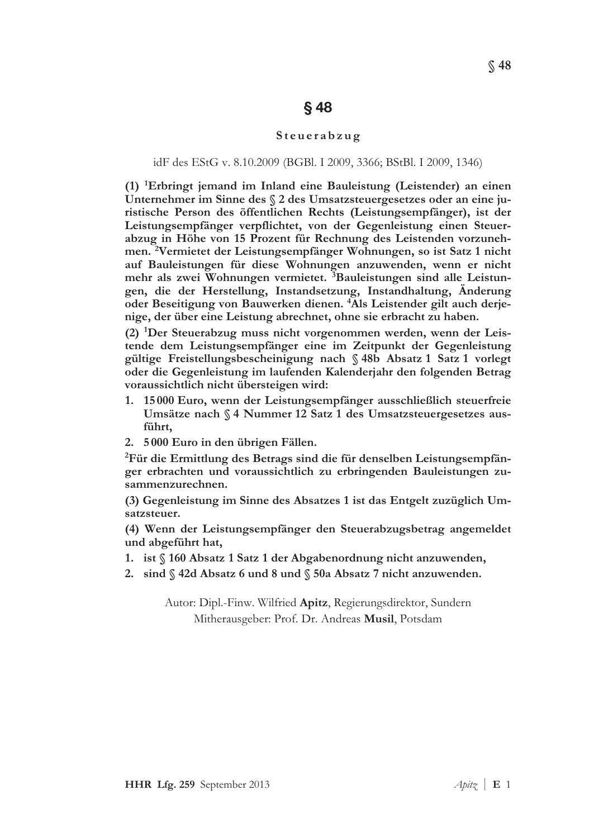# $§$  48

### Steuerabzug

#### idF des EStG v. 8.10.2009 (BGBl. I 2009, 3366; BStBl. I 2009, 1346)

 $(1)$  <sup>1</sup>Erbringt jemand im Inland eine Bauleistung (Leistender) an einen Unternehmer im Sinne des § 2 des Umsatzsteuergesetzes oder an eine juristische Person des öffentlichen Rechts (Leistungsempfänger), ist der Leistungsempfänger verpflichtet, von der Gegenleistung einen Steuerabzug in Höhe von 15 Prozent für Rechnung des Leistenden vorzunehmen. <sup>2</sup>Vermietet der Leistungsempfänger Wohnungen, so ist Satz 1 nicht auf Bauleistungen für diese Wohnungen anzuwenden, wenn er nicht mehr als zwei Wohnungen vermietet. <sup>3</sup>Bauleistungen sind alle Leistungen, die der Herstellung, Instandsetzung, Instandhaltung, Änderung oder Beseitigung von Bauwerken dienen. <sup>4</sup>Als Leistender gilt auch derjenige, der über eine Leistung abrechnet, ohne sie erbracht zu haben.

(2) <sup>1</sup>Der Steuerabzug muss nicht vorgenommen werden, wenn der Leistende dem Leistungsempfänger eine im Zeitpunkt der Gegenleistung gültige Freistellungsbescheinigung nach §48b Absatz 1 Satz 1 vorlegt oder die Gegenleistung im laufenden Kalenderjahr den folgenden Betrag voraussichtlich nicht übersteigen wird:

- 15000 Euro, wenn der Leistungsempfänger ausschließlich steuerfreie 1. Umsätze nach § 4 Nummer 12 Satz 1 des Umsatzsteuergesetzes ausführt.
- 2. 5000 Euro in den übrigen Fällen.

<sup>2</sup>Für die Ermittlung des Betrags sind die für denselben Leistungsempfänger erbrachten und voraussichtlich zu erbringenden Bauleistungen zusammenzurechnen.

(3) Gegenleistung im Sinne des Absatzes 1 ist das Entgelt zuzüglich Umsatzsteuer.

(4) Wenn der Leistungsempfänger den Steuerabzugsbetrag angemeldet und abgeführt hat,

- 1. ist  $\int$  160 Absatz 1 Satz 1 der Abgabenordnung nicht anzuwenden,
- 2. sind § 42d Absatz 6 und 8 und § 50a Absatz 7 nicht anzuwenden.

Autor: Dipl.-Finw. Wilfried Apitz, Regierungsdirektor, Sundern Mitherausgeber: Prof. Dr. Andreas Musil, Potsdam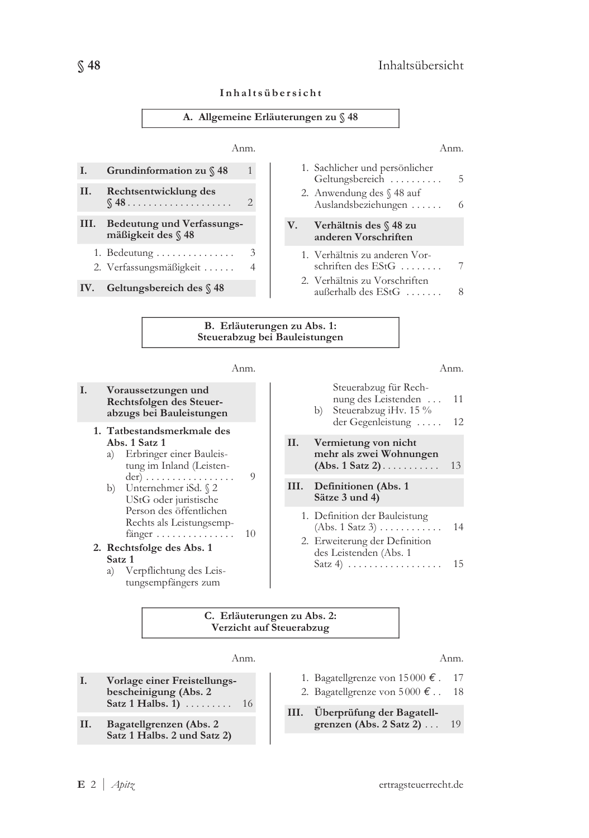

| Inhaltsübersicht |  |
|------------------|--|
|------------------|--|



#### I. Voraussetzungen und Rechtsfolgen des Steuerabzugs bei Bauleistungen

- 1. Tatbestandsmerkmale des Abs. 1 Satz 1
	- a) Erbringer einer Bauleistung im Inland (Leisten-+-SH J JJJJJJJJJJJJJJJJ B
	- b) Unternehmer iSd.  $\sqrt{2}$ UStG oder juristische Person des öffentlichen Rechts als Leistungsemp $f\ddot{\text{anger}} \dots \dots \dots \dots \dots \quad 10$
- 2. Rechtsfolge des Abs. 1 Satz 1<br>a)  $V_0$ 
	- Verpflichtung des Leistungsempfängers zum

Anm. Anm.

|    | Steuerabzug für Rech-<br>nung des Leistenden<br>Steuerabzug iHv. 15 %<br>b)<br>der Gegenleistung        | 11<br>12 |
|----|---------------------------------------------------------------------------------------------------------|----------|
| Н. | Vermietung von nicht<br>mehr als zwei Wohnungen<br>$(Abs. 1 Satz 2) \ldots \ldots$                      | 13       |
|    | III. Definitionen (Abs. 1<br>Sätze 3 und 4)                                                             |          |
|    | 1. Definition der Bauleistung<br>$(Abs. 1 Satz 3) \ldots \ldots \ldots$                                 | 14       |
|    | 2. Erweiterung der Definition<br>des Leistenden (Abs. 1<br>Satz 4) $\ldots \ldots \ldots \ldots \ldots$ | 15       |
|    |                                                                                                         |          |

#### C. Erläuterungen zu Abs. 2: Verzicht auf Steuerabzug

- I. Vorlage einer Freistellungsbescheinigung (Abs. 2  $Satz 1 Halbs. 1)$  ........ 16
- $\mathbf{I}$ Bagatellgrenzen (Abs. 2 Satz 1 Halbs. 2 und Satz 2)

Anm. Anm.

- 1. Bagatellgrenze von 15000  $\epsilon$ . 17
- 2. Bagatellgrenze von  $5000 \text{ } \epsilon$ .. 18
- $\mathbf{III}$ Überprüfung der Bagatellgrenzen (Abs. 2 Satz 2)  $\ldots$  19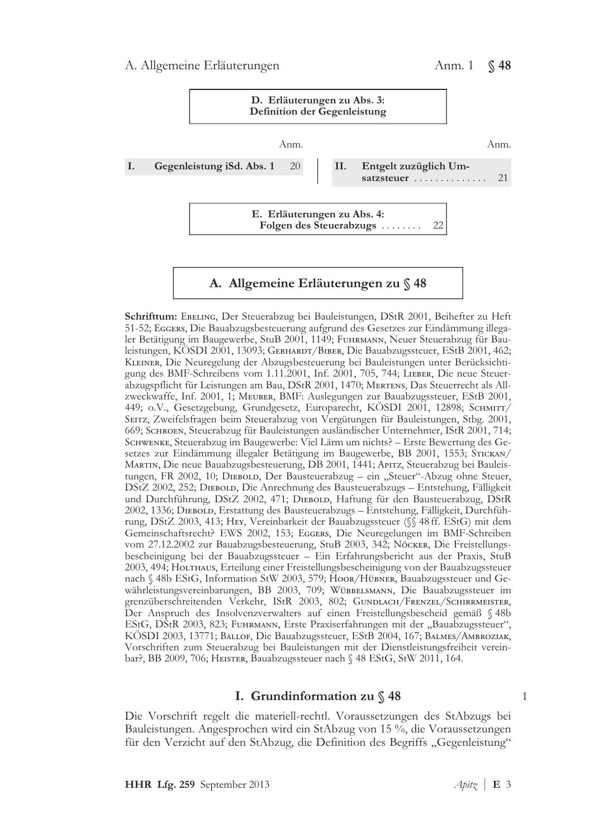

Schrifttum: EBELING, Der Steuerabzug bei Bauleistungen, DStR 2001, Beihefter zu Heft 51-52; EGGERS, Die Bauabzugsbesteuerung aufgrund des Gesetzes zur Eindämmung illegaler Betätigung im Baugewerbe, StuB 2001, 1149; FUHRMANN, Neuer Steuerabzug für Bauleistungen, KÖSDI 2001, 13093; Gевнакот/Вівек, Die Bauabzugssteuer, EStB 2001, 462; KLEINER, Die Neuregelung der Abzugsbesteuerung bei Bauleistungen unter Berücksichtigung des BMF-Schreibens vom 1.11.2001, Inf. 2001, 705, 744; LIEBER, Die neue Steuerabzugspflicht für Leistungen am Bau, DStR 2001, 1470; MERTENS, Das Steuerrecht als Allzweckwaffe, Inf. 2001, 1; Meurer, BMF: Auslegungen zur Bauabzugssteuer, EStB 2001, 449; o.V., Gesetzgebung, Grundgesetz, Europarecht, KOSDI 2001, 12898; Sснмпт7/ SEITZ, Zweifelsfragen beim Steuerabzug von Vergütungen für Bauleistungen, Stbg. 2001, 669; Schroen, Steuerabzug für Bauleistungen ausländischer Unternehmer, IStR 2001, 714; SCHWENKE, Steuerabzug im Baugewerbe: Viel Lärm um nichts? - Erste Bewertung des Ge-Setzes zur Eindämmung illegaler Betätigung im Baugewerbe, BB 2001, 1553; STICKAN/ MARTIN, Die neue Bauabzugsbesteuerung, DB 2001, 1441; APITZ, Steuerabzug bei Bauleistungen, FR 2002, 10; DIEBOLD, Der Bausteuerabzug – ein "Steuer"-Abzug ohne Steuer, DStZ 2002, 252; DIEBOLD, Die Anrechnung des Bausteuerabzugs – Entstehung, Fälligkeit und Durchführung, DStZ 2002, 471; DIEBOLD, Haftung für den Bausteuerabzug, DStR 2002, 1336; DIEBOLD, Erstattung des Bausteuerabzugs – Entstehung, Fälligkeit, Durchführung, DStZ 2003, 413; HEY, Vereinbarkeit der Bauabzugssteuer (SS 48 ff. EStG) mit dem Gemeinschaftsrecht? EWS 2002, 153; EGGERS, Die Neuregelungen im BMF-Schreiben vom 27.12.2002 zur Bauabzugsbesteuerung, StuB 2003, 342; Nöcker, Die Freistellungsbescheinigung bei der Bauabzugssteuer – Ein Erfahrungsbericht aus der Praxis, StuB 2003, 494; HOLTHAUS, Erteilung einer Freistellungsbescheinigung von der Bauabzugssteuer nach § 48b EStG, Information StW 2003, 579; Hoor/Hübner, Bauabzugssteuer und Gewährleistungsvereinbarungen, BB 2003, 709; WÜBBELSMANN, Die Bauabzugssteuer im grenzüberschreitenden Verkehr, IStR 2003, 802; GUNDLACH/FRENZEL/SCHIRRMEISTER, Der Anspruch des Insolvenzverwalters auf einen Freistellungsbescheid gemäß § 48b EStG, DStR 2003, 823; FUHRMANN, Erste Praxiserfahrungen mit der "Bauabzugssteuer", KÖSDI 2003, 13771; Ваllоғ, Die Bauabzugssteuer, EStB 2004, 167; Ваlмеs/Амвrоzіак, Vorschriften zum Steuerabzug bei Bauleistungen mit der Dienstleistungsfreiheit vereinbar?, BB 2009, 706; HEISTER, Bauabzugssteuer nach  $\%$  48 EStG, StW 2011, 164.

# I. Grundinformation zu  $\S$  48

Die Vorschrift regelt die materiell-rechtl. Voraussetzungen des StAbzugs bei Bauleistungen. Angesprochen wird ein StAbzug von 15 %, die Voraussetzungen für den Verzicht auf den StAbzug, die Definition des Begriffs "Gegenleistung" E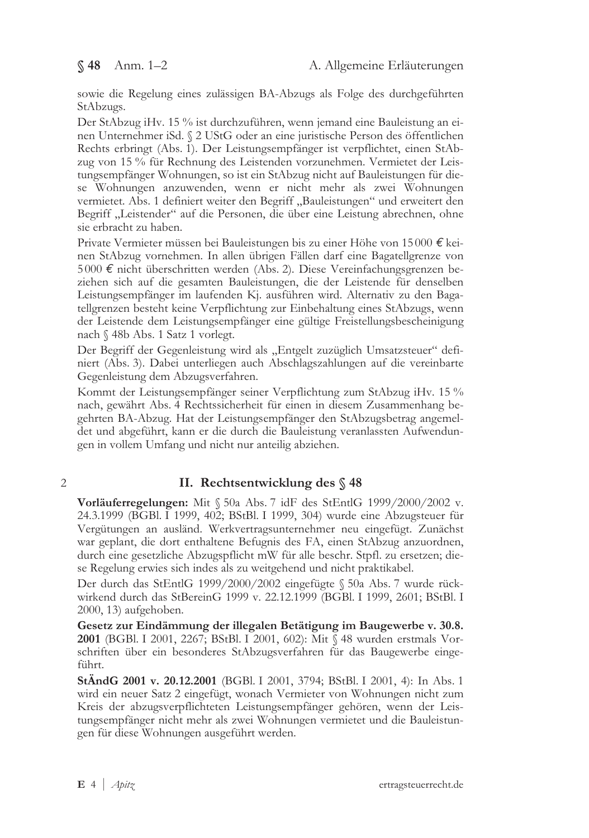sowie die Regelung eines zulässigen BA-Abzugs als Folge des durchgeführten StAbzugs.

Der StAbzug iHv. 15 % ist durchzuführen, wenn jemand eine Bauleistung an einen Unternehmer iSd. § 2 UStG oder an eine juristische Person des öffentlichen Rechts erbringt (Abs. 1). Der Leistungsempfänger ist verpflichtet, einen StAbzug von 15 % für Rechnung des Leistenden vorzunehmen. Vermietet der Leistungsempfänger Wohnungen, so ist ein StAbzug nicht auf Bauleistungen für diese Wohnungen anzuwenden, wenn er nicht mehr als zwei Wohnungen vermietet. Abs. 1 definiert weiter den Begriff "Bauleistungen" und erweitert den Begriff "Leistender" auf die Personen, die über eine Leistung abrechnen, ohne sie erbracht zu haben.

Private Vermieter müssen bei Bauleistungen bis zu einer Höhe von 15000 € keinen StAbzug vornehmen. In allen übrigen Fällen darf eine Bagatellgrenze von 5000 € nicht überschritten werden (Abs. 2). Diese Vereinfachungsgrenzen beziehen sich auf die gesamten Bauleistungen, die der Leistende für denselben Leistungsempfänger im laufenden Kj. ausführen wird. Alternativ zu den Bagatellgrenzen besteht keine Verpflichtung zur Einbehaltung eines StAbzugs, wenn der Leistende dem Leistungsempfänger eine gültige Freistellungsbescheinigung nach § 48b Abs. 1 Satz 1 vorlegt.

Der Begriff der Gegenleistung wird als "Entgelt zuzüglich Umsatzsteuer" definiert (Abs. 3). Dabei unterliegen auch Abschlagszahlungen auf die vereinbarte Gegenleistung dem Abzugsverfahren.

Kommt der Leistungsempfänger seiner Verpflichtung zum StAbzug iHv. 15 % nach, gewährt Abs. 4 Rechtssicherheit für einen in diesem Zusammenhang begehrten BA-Abzug. Hat der Leistungsempfänger den StAbzugsbetrag angemeldet und abgeführt, kann er die durch die Bauleistung veranlassten Aufwendungen in vollem Umfang und nicht nur anteilig abziehen.

### $\overline{2}$

# II. Rechtsentwicklung des §48

Vorläuferregelungen: Mit § 50a Abs. 7 idF des StEntlG 1999/2000/2002 v. 24.3.1999 (BGBI, I 1999, 402; BStBI, I 1999, 304) wurde eine Abzugsteuer für Vergütungen an ausländ. Werkvertragsunternehmer neu eingefügt. Zunächst war geplant, die dort enthaltene Befugnis des FA, einen StAbzug anzuordnen, durch eine gesetzliche Abzugspflicht mW für alle beschr. Stpfl. zu ersetzen; diese Regelung erwies sich indes als zu weitgehend und nicht praktikabel.

Der durch das StEntlG 1999/2000/2002 eingefügte § 50a Abs. 7 wurde rückwirkend durch das StBereinG 1999 v. 22.12.1999 (BGBl. I 1999, 2601; BStBl. I 2000, 13) aufgehoben.

Gesetz zur Eindämmung der illegalen Betätigung im Baugewerbe v. 30.8. **2001** (BGBI, I 2001, 2267; BStBI, I 2001, 602): Mit § 48 wurden erstmals Vorschriften über ein besonderes StAbzugsverfahren für das Baugewerbe eingeführt.

StÄndG 2001 v. 20.12.2001 (BGBl. I 2001, 3794; BStBl. I 2001, 4): In Abs. 1 wird ein neuer Satz 2 eingefügt, wonach Vermieter von Wohnungen nicht zum Kreis der abzugsverpflichteten Leistungsempfänger gehören, wenn der Leistungsempfänger nicht mehr als zwei Wohnungen vermietet und die Bauleistungen für diese Wohnungen ausgeführt werden.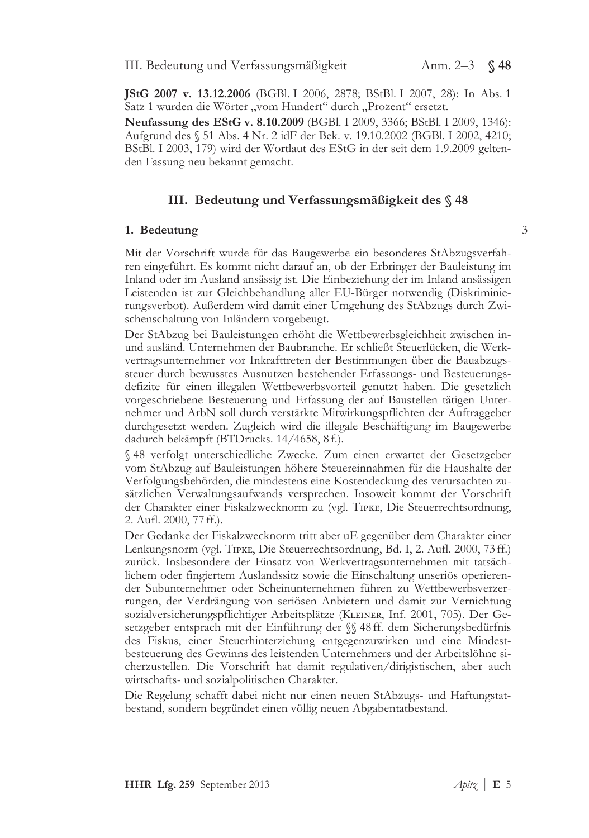3

JStG 2007 v. 13.12.2006 (BGBl. I 2006, 2878; BStBl. I 2007, 28): In Abs. 1 Satz 1 wurden die Wörter "vom Hundert" durch "Prozent" ersetzt.

Neufassung des EStG v. 8.10.2009 (BGBl. I 2009, 3366; BStBl. I 2009, 1346): Aufgrund des § 51 Abs. 4 Nr. 2 idF der Bek. v. 19.10.2002 (BGBl. I 2002, 4210; BStBl. I 2003, 179) wird der Wortlaut des EStG in der seit dem 1.9.2009 geltenden Fassung neu bekannt gemacht.

### III. Bedeutung und Verfassungsmäßigkeit des §48

#### 1. Bedeutung

Mit der Vorschrift wurde für das Baugewerbe ein besonderes StAbzugsverfahren eingeführt. Es kommt nicht darauf an, ob der Erbringer der Bauleistung im Inland oder im Ausland ansässig ist. Die Einbeziehung der im Inland ansässigen Leistenden ist zur Gleichbehandlung aller EU-Bürger notwendig (Diskriminierungsverbot). Außerdem wird damit einer Umgehung des StAbzugs durch Zwischenschaltung von Inländern vorgebeugt.

Der StAbzug bei Bauleistungen erhöht die Wettbewerbsgleichheit zwischen inund ausländ. Unternehmen der Baubranche. Er schließt Steuerlücken, die Werkvertragsunternehmer vor Inkrafttreten der Bestimmungen über die Bauabzugssteuer durch bewusstes Ausnutzen bestehender Erfassungs- und Besteuerungsdefizite für einen illegalen Wettbewerbsvorteil genutzt haben. Die gesetzlich vorgeschriebene Besteuerung und Erfassung der auf Baustellen tätigen Unternehmer und ArbN soll durch verstärkte Mitwirkungspflichten der Auftraggeber durchgesetzt werden. Zugleich wird die illegale Beschäftigung im Baugewerbe dadurch bekämpft (BTDrucks. 14/4658, 8 f.).

§ 48 verfolgt unterschiedliche Zwecke. Zum einen erwartet der Gesetzgeber vom StAbzug auf Bauleistungen höhere Steuereinnahmen für die Haushalte der Verfolgungsbehörden, die mindestens eine Kostendeckung des verursachten zusätzlichen Verwaltungsaufwands versprechen. Insoweit kommt der Vorschrift der Charakter einer Fiskalzwecknorm zu (vgl. TIPKE, Die Steuerrechtsordnung, 2. Aufl. 2000, 77 ff.).

Der Gedanke der Fiskalzwecknorm tritt aber uE gegenüber dem Charakter einer Lenkungsnorm (vgl. TIPKE, Die Steuerrechtsordnung, Bd. I, 2. Aufl. 2000, 73 ff.) zurück. Insbesondere der Einsatz von Werkvertragsunternehmen mit tatsächlichem oder fingiertem Auslandssitz sowie die Einschaltung unseriös operierender Subunternehmer oder Scheinunternehmen führen zu Wettbewerbsverzerrungen, der Verdrängung von seriösen Anbietern und damit zur Vernichtung sozialversicherungspflichtiger Arbeitsplätze (KLEINER, Inf. 2001, 705). Der Gesetzgeber entsprach mit der Einführung der  $\%$  48 ff. dem Sicherungsbedürfnis des Fiskus, einer Steuerhinterziehung entgegenzuwirken und eine Mindestbesteuerung des Gewinns des leistenden Unternehmers und der Arbeitslöhne sicherzustellen. Die Vorschrift hat damit regulativen/dirigistischen, aber auch wirtschafts- und sozialpolitischen Charakter.

Die Regelung schafft dabei nicht nur einen neuen StAbzugs- und Haftungstatbestand, sondern begründet einen völlig neuen Abgabentatbestand.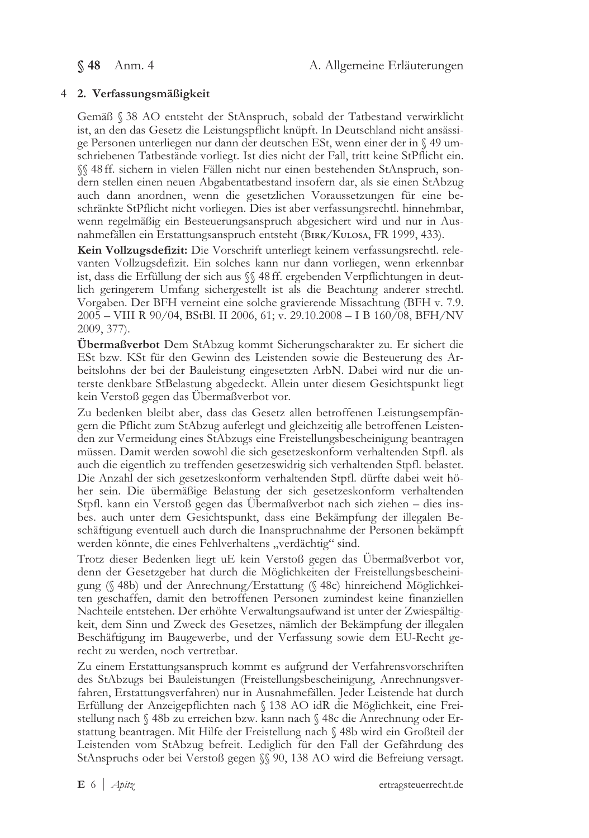§ 48 Anm. 4

# 4 2. Verfassungsmäßigkeit

Gemäß § 38 AO entsteht der StAnspruch, sobald der Tatbestand verwirklicht ist, an den das Gesetz die Leistungspflicht knüpft. In Deutschland nicht ansässige Personen unterliegen nur dann der deutschen ESt, wenn einer der in § 49 umschriebenen Tatbestände vorliegt. Ist dies nicht der Fall, tritt keine StPflicht ein. §§ 48 ff. sichern in vielen Fällen nicht nur einen bestehenden StAnspruch, sondern stellen einen neuen Abgabentatbestand insofern dar, als sie einen StAbzug auch dann anordnen, wenn die gesetzlichen Voraussetzungen für eine beschränkte StPflicht nicht vorliegen. Dies ist aber verfassungsrechtl. hinnehmbar, wenn regelmäßig ein Besteuerungsanspruch abgesichert wird und nur in Ausnahmefällen ein Erstattungsanspruch entsteht (BIRK/KULOSA, FR 1999, 433).

Kein Vollzugsdefizit: Die Vorschrift unterliegt keinem verfassungsrechtl. relevanten Vollzugsdefizit. Ein solches kann nur dann vorliegen, wenn erkennbar ist, dass die Erfüllung der sich aus  $\%$  48 ff. ergebenden Verpflichtungen in deutlich geringerem Umfang sichergestellt ist als die Beachtung anderer strechtl. Vorgaben. Der BFH verneint eine solche gravierende Missachtung (BFH v. 7.9. 2005 - VIII R 90/04, BStBl. II 2006, 61; v. 29.10.2008 - I B 160/08, BFH/NV 2009, 377).

Übermaßverbot Dem StAbzug kommt Sicherungscharakter zu. Er sichert die ESt bzw. KSt für den Gewinn des Leistenden sowie die Besteuerung des Arbeitslohns der bei der Bauleistung eingesetzten ArbN. Dabei wird nur die unterste denkbare StBelastung abgedeckt. Allein unter diesem Gesichtspunkt liegt kein Verstoß gegen das Übermaßverbot vor.

Zu bedenken bleibt aber, dass das Gesetz allen betroffenen Leistungsempfängern die Pflicht zum StAbzug auferlegt und gleichzeitig alle betroffenen Leistenden zur Vermeidung eines StAbzugs eine Freistellungsbescheinigung beantragen müssen. Damit werden sowohl die sich gesetzeskonform verhaltenden Stpfl. als auch die eigentlich zu treffenden gesetzeswidrig sich verhaltenden Stpfl. belastet. Die Anzahl der sich gesetzeskonform verhaltenden Stpfl. dürfte dabei weit höher sein. Die übermäßige Belastung der sich gesetzeskonform verhaltenden Stpfl. kann ein Verstoß gegen das Übermaßverbot nach sich ziehen – dies insbes. auch unter dem Gesichtspunkt, dass eine Bekämpfung der illegalen Beschäftigung eventuell auch durch die Inanspruchnahme der Personen bekämpft werden könnte, die eines Fehlverhaltens "verdächtig" sind.

Trotz dieser Bedenken liegt uE kein Verstoß gegen das Übermaßverbot vor, denn der Gesetzgeber hat durch die Möglichkeiten der Freistellungsbescheinigung (§ 48b) und der Anrechnung/Erstattung (§ 48c) hinreichend Möglichkeiten geschaffen, damit den betroffenen Personen zumindest keine finanziellen Nachteile entstehen. Der erhöhte Verwaltungsaufwand ist unter der Zwiespältigkeit, dem Sinn und Zweck des Gesetzes, nämlich der Bekämpfung der illegalen Beschäftigung im Baugewerbe, und der Verfassung sowie dem EU-Recht gerecht zu werden, noch vertretbar.

Zu einem Erstattungsanspruch kommt es aufgrund der Verfahrensvorschriften des StAbzugs bei Bauleistungen (Freistellungsbescheinigung, Anrechnungsverfahren, Erstattungsverfahren) nur in Ausnahmefällen. Jeder Leistende hat durch Erfüllung der Anzeigepflichten nach § 138 AO idR die Möglichkeit, eine Freistellung nach § 48b zu erreichen bzw. kann nach § 48c die Anrechnung oder Erstattung beantragen. Mit Hilfe der Freistellung nach § 48b wird ein Großteil der Leistenden vom StAbzug befreit. Lediglich für den Fall der Gefährdung des StAnspruchs oder bei Verstoß gegen §§ 90, 138 AO wird die Befreiung versagt.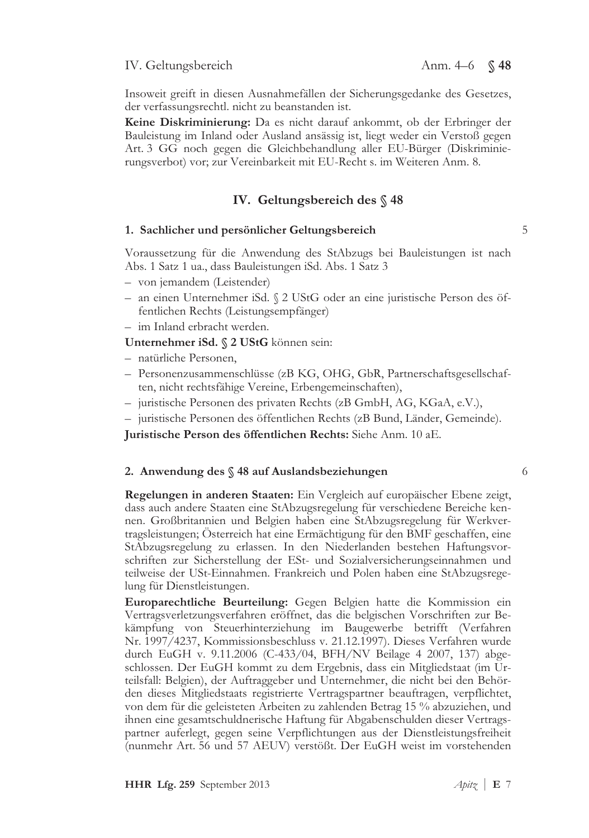### IV. Geltungsbereich

Insoweit greift in diesen Ausnahmefällen der Sicherungsgedanke des Gesetzes, der verfassungsrechtl. nicht zu beanstanden ist.

Keine Diskriminierung: Da es nicht darauf ankommt, ob der Erbringer der Bauleistung im Inland oder Ausland ansässig ist, liegt weder ein Verstoß gegen Art. 3 GG noch gegen die Gleichbehandlung aller EU-Bürger (Diskriminierungsverbot) vor; zur Vereinbarkeit mit EU-Recht s. im Weiteren Anm. 8.

### IV. Geltungsbereich des  $\S$  48

#### 1. Sachlicher und persönlicher Geltungsbereich

Voraussetzung für die Anwendung des StAbzugs bei Bauleistungen ist nach Abs. 1 Satz 1 ua., dass Bauleistungen iSd. Abs. 1 Satz 3

- von jemandem (Leistender)
- an einen Unternehmer iSd. § 2 UStG oder an eine juristische Person des öffentlichen Rechts (Leistungsempfänger)
- im Inland erbracht werden.

Unternehmer iSd. § 2 UStG können sein:

- natürliche Personen,
- Personenzusammenschlüsse (zB KG, OHG, GbR, Partnerschaftsgesellschaften, nicht rechtsfähige Vereine, Erbengemeinschaften),
- juristische Personen des privaten Rechts (zB GmbH, AG, KGaA, e.V.),
- juristische Personen des öffentlichen Rechts (zB Bund, Länder, Gemeinde).

Juristische Person des öffentlichen Rechts: Siehe Anm. 10 aE.

#### 2. Anwendung des § 48 auf Auslandsbeziehungen

Regelungen in anderen Staaten: Ein Vergleich auf europäischer Ebene zeigt, dass auch andere Staaten eine StAbzugsregelung für verschiedene Bereiche kennen. Großbritannien und Belgien haben eine StAbzugsregelung für Werkvertragsleistungen; Österreich hat eine Ermächtigung für den BMF geschaffen, eine StAbzugsregelung zu erlassen. In den Niederlanden bestehen Haftungsvorschriften zur Sicherstellung der ESt- und Sozialversicherungseinnahmen und teilweise der USt-Einnahmen. Frankreich und Polen haben eine StAbzugsregelung für Dienstleistungen.

Europarechtliche Beurteilung: Gegen Belgien hatte die Kommission ein Vertragsverletzungsverfahren eröffnet, das die belgischen Vorschriften zur Bekämpfung von Steuerhinterziehung im Baugewerbe betrifft (Verfahren Nr. 1997/4237, Kommissionsbeschluss v. 21.12.1997). Dieses Verfahren wurde durch EuGH v. 9.11.2006 (C-433/04, BFH/NV Beilage 4 2007, 137) abgeschlossen. Der EuGH kommt zu dem Ergebnis, dass ein Mitgliedstaat (im Urteilsfall: Belgien), der Auftraggeber und Unternehmer, die nicht bei den Behörden dieses Mitgliedstaats registrierte Vertragspartner beauftragen, verpflichtet, von dem für die geleisteten Arbeiten zu zahlenden Betrag 15 % abzuziehen, und ihnen eine gesamtschuldnerische Haftung für Abgabenschulden dieser Vertragspartner auferlegt, gegen seine Verpflichtungen aus der Dienstleistungsfreiheit (nunmehr Art. 56 und 57 AEUV) verstößt. Der EuGH weist im vorstehenden

5

6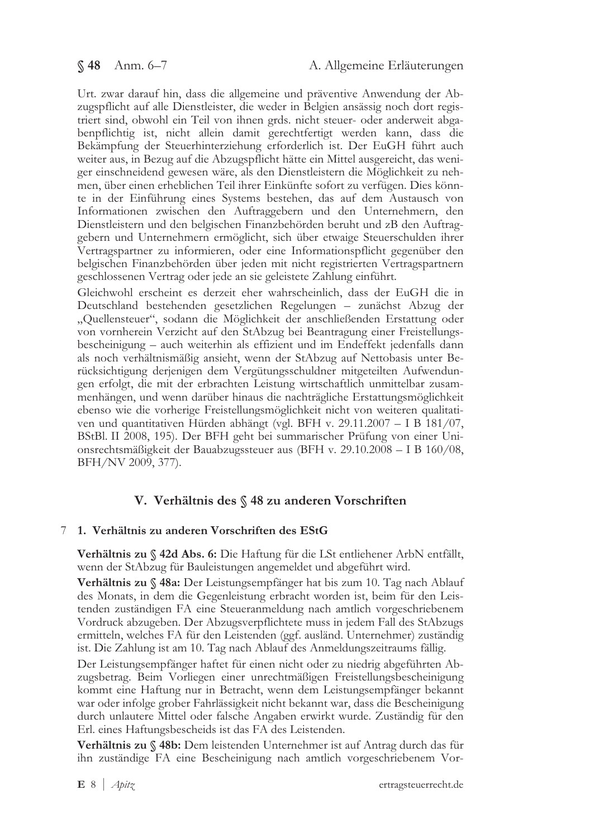Urt. zwar darauf hin, dass die allgemeine und präventive Anwendung der Abzugspflicht auf alle Dienstleister, die weder in Belgien ansässig noch dort registriert sind, obwohl ein Teil von ihnen grds. nicht steuer- oder anderweit abgabenpflichtig ist, nicht allein damit gerechtfertigt werden kann, dass die Bekämpfung der Steuerhinterziehung erforderlich ist. Der EuGH führt auch weiter aus, in Bezug auf die Abzugspflicht hätte ein Mittel ausgereicht, das weniger einschneidend gewesen wäre, als den Dienstleistern die Möglichkeit zu nehmen, über einen erheblichen Teil ihrer Einkünfte sofort zu verfügen. Dies könnte in der Einführung eines Systems bestehen, das auf dem Austausch von Informationen zwischen den Auftraggebern und den Unternehmern, den Dienstleistern und den belgischen Finanzbehörden beruht und zB den Auftraggebern und Unternehmern ermöglicht, sich über etwaige Steuerschulden ihrer Vertragspartner zu informieren, oder eine Informationspflicht gegenüber den belgischen Finanzbehörden über jeden mit nicht registrierten Vertragspartnern geschlossenen Vertrag oder jede an sie geleistete Zahlung einführt.

Gleichwohl erscheint es derzeit eher wahrscheinlich, dass der EuGH die in Deutschland bestehenden gesetzlichen Regelungen - zunächst Abzug der "Quellensteuer", sodann die Möglichkeit der anschließenden Erstattung oder von vornherein Verzicht auf den StAbzug bei Beantragung einer Freistellungsbescheinigung – auch weiterhin als effizient und im Endeffekt jedenfalls dann als noch verhältnismäßig ansieht, wenn der StAbzug auf Nettobasis unter Berücksichtigung derjenigen dem Vergütungsschuldner mitgeteilten Aufwendungen erfolgt, die mit der erbrachten Leistung wirtschaftlich unmittelbar zusammenhängen, und wenn darüber hinaus die nachträgliche Erstattungsmöglichkeit ebenso wie die vorherige Freistellungsmöglichkeit nicht von weiteren qualitativen und quantitativen Hürden abhängt (vgl. BFH v. 29.11.2007 – I B  $181/07$ , BStBl. II 2008, 195). Der BFH geht bei summarischer Prüfung von einer Unionsrechtsmäßigkeit der Bauabzugssteuer aus (BFH v. 29.10.2008 - I B 160/08, BFH/NV 2009, 377).

# V. Verhältnis des § 48 zu anderen Vorschriften

# 7 1. Verhältnis zu anderen Vorschriften des EStG

Verhältnis zu § 42d Abs. 6: Die Haftung für die LSt entliehener ArbN entfällt, wenn der StAbzug für Bauleistungen angemeldet und abgeführt wird.

Verhältnis zu § 48a: Der Leistungsempfänger hat bis zum 10. Tag nach Ablauf des Monats, in dem die Gegenleistung erbracht worden ist, beim für den Leistenden zuständigen FA eine Steueranmeldung nach amtlich vorgeschriebenem Vordruck abzugeben. Der Abzugsverpflichtete muss in jedem Fall des StAbzugs ermitteln, welches FA für den Leistenden (ggf. ausländ. Unternehmer) zuständig ist. Die Zahlung ist am 10. Tag nach Ablauf des Anmeldungszeitraums fällig.

Der Leistungsempfänger haftet für einen nicht oder zu niedrig abgeführten Abzugsbetrag. Beim Vorliegen einer unrechtmäßigen Freistellungsbescheinigung kommt eine Haftung nur in Betracht, wenn dem Leistungsempfänger bekannt war oder infolge grober Fahrlässigkeit nicht bekannt war, dass die Bescheinigung durch unlautere Mittel oder falsche Angaben erwirkt wurde. Zuständig für den Erl. eines Haftungsbescheids ist das FA des Leistenden.

Verhältnis zu § 48b: Dem leistenden Unternehmer ist auf Antrag durch das für ihn zuständige FA eine Bescheinigung nach amtlich vorgeschriebenem Vor-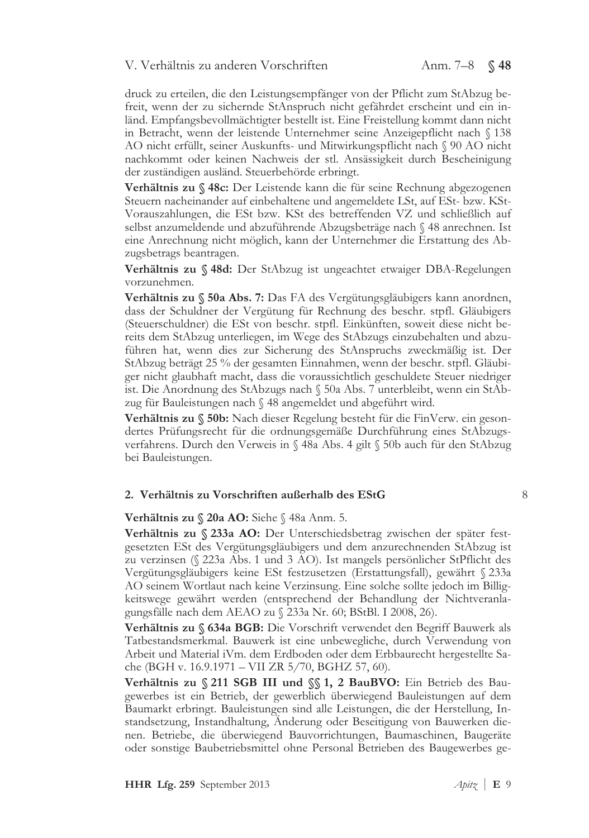### V. Verhältnis zu anderen Vorschriften

druck zu erteilen, die den Leistungsempfänger von der Pflicht zum StAbzug befreit, wenn der zu sichernde StAnspruch nicht gefährdet erscheint und ein inländ. Empfangsbevollmächtigter bestellt ist. Eine Freistellung kommt dann nicht in Betracht, wenn der leistende Unternehmer seine Anzeigepflicht nach § 138 AO nicht erfüllt, seiner Auskunfts- und Mitwirkungspflicht nach § 90 AO nicht nachkommt oder keinen Nachweis der stl. Ansässigkeit durch Bescheinigung der zuständigen ausländ. Steuerbehörde erbringt.

Verhältnis zu § 48c: Der Leistende kann die für seine Rechnung abgezogenen Steuern nacheinander auf einbehaltene und angemeldete LSt, auf ESt- bzw. KSt-Vorauszahlungen, die ESt bzw. KSt des betreffenden VZ und schließlich auf selbst anzumeldende und abzuführende Abzugsbeträge nach § 48 anrechnen. Ist eine Anrechnung nicht möglich, kann der Unternehmer die Erstattung des Abzugsbetrags beantragen.

Verhältnis zu § 48d: Der StAbzug ist ungeachtet etwaiger DBA-Regelungen vorzunehmen.

Verhältnis zu § 50a Abs. 7: Das FA des Vergütungsgläubigers kann anordnen, dass der Schuldner der Vergütung für Rechnung des beschr. stpfl. Gläubigers (Steuerschuldner) die ESt von beschr. stpfl. Einkünften, soweit diese nicht bereits dem StAbzug unterliegen, im Wege des StAbzugs einzubehalten und abzuführen hat, wenn dies zur Sicherung des StAnspruchs zweckmäßig ist. Der StAbzug beträgt 25 % der gesamten Einnahmen, wenn der beschr. stpfl. Gläubiger nicht glaubhaft macht, dass die voraussichtlich geschuldete Steuer niedriger ist. Die Anordnung des StAbzugs nach § 50a Abs. 7 unterbleibt, wenn ein StAbzug für Bauleistungen nach § 48 angemeldet und abgeführt wird.

Verhältnis zu § 50b: Nach dieser Regelung besteht für die FinVerw. ein gesondertes Prüfungsrecht für die ordnungsgemäße Durchführung eines StAbzugsverfahrens. Durch den Verweis in § 48a Abs. 4 gilt § 50b auch für den StAbzug bei Bauleistungen.

### 2. Verhältnis zu Vorschriften außerhalb des EStG

8

Verhältnis zu § 20a AO: Siehe § 48a Anm. 5.

Verhältnis zu § 233a AO: Der Unterschiedsbetrag zwischen der später festgesetzten ESt des Vergütungsgläubigers und dem anzurechnenden StAbzug ist zu verzinsen (§ 223a Abs. 1 und 3 AO). Ist mangels persönlicher StPflicht des Vergütungsgläubigers keine ESt festzusetzen (Erstattungsfall), gewährt § 233a AO seinem Wortlaut nach keine Verzinsung. Eine solche sollte jedoch im Billigkeitswege gewährt werden (entsprechend der Behandlung der Nichtveranlagungsfälle nach dem AEAO zu § 233a Nr. 60; BStBl. I 2008, 26).

Verhältnis zu § 634a BGB: Die Vorschrift verwendet den Begriff Bauwerk als Tatbestandsmerkmal. Bauwerk ist eine unbewegliche, durch Verwendung von Arbeit und Material iVm. dem Erdboden oder dem Erbbaurecht hergestellte Sache (BGH v. 16.9.1971 – VII ZR 5/70, BGHZ 57, 60).

Verhältnis zu § 211 SGB III und §§ 1, 2 BauBVO: Ein Betrieb des Baugewerbes ist ein Betrieb, der gewerblich überwiegend Bauleistungen auf dem Baumarkt erbringt. Bauleistungen sind alle Leistungen, die der Herstellung, Instandsetzung, Instandhaltung, Anderung oder Beseitigung von Bauwerken dienen. Betriebe, die überwiegend Bauvorrichtungen, Baumaschinen, Baugeräte oder sonstige Baubetriebsmittel ohne Personal Betrieben des Baugewerbes ge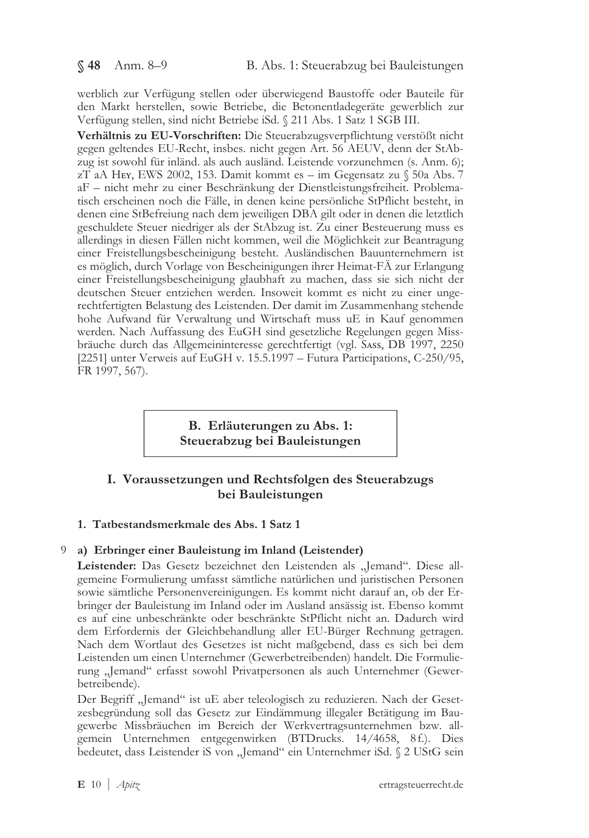werblich zur Verfügung stellen oder überwiegend Baustoffe oder Bauteile für den Markt herstellen, sowie Betriebe, die Betonentladegeräte gewerblich zur Verfügung stellen, sind nicht Betriebe iSd. § 211 Abs. 1 Satz 1 SGB III.

Verhältnis zu EU-Vorschriften: Die Steuerabzugsverpflichtung verstößt nicht gegen geltendes EU-Recht, insbes. nicht gegen Art. 56 AEUV, denn der StAbzug ist sowohl für inländ. als auch ausländ. Leistende vorzunehmen (s. Anm. 6); zT aA HEY, EWS 2002, 153. Damit kommt es – im Gegensatz zu  $\sqrt{50a}$  Abs. 7 aF - nicht mehr zu einer Beschränkung der Dienstleistungsfreiheit. Problematisch erscheinen noch die Fälle, in denen keine persönliche StPflicht besteht, in denen eine StBefreiung nach dem jeweiligen DBA gilt oder in denen die letztlich geschuldete Steuer niedriger als der StAbzug ist. Zu einer Besteuerung muss es allerdings in diesen Fällen nicht kommen, weil die Möglichkeit zur Beantragung einer Freistellungsbescheinigung besteht. Ausländischen Bauunternehmern ist es möglich, durch Vorlage von Bescheinigungen ihrer Heimat-FÄ zur Erlangung einer Freistellungsbescheinigung glaubhaft zu machen, dass sie sich nicht der deutschen Steuer entziehen werden. Insoweit kommt es nicht zu einer ungerechtfertigten Belastung des Leistenden. Der damit im Zusammenhang stehende hohe Aufwand für Verwaltung und Wirtschaft muss uE in Kauf genommen werden. Nach Auffassung des EuGH sind gesetzliche Regelungen gegen Missbräuche durch das Allgemeininteresse gerechtfertigt (vgl. Sass, DB 1997, 2250 [2251] unter Verweis auf EuGH v. 15.5.1997 - Futura Participations, C-250/95, FR 1997, 567).

> B. Erläuterungen zu Abs. 1: Steuerabzug bei Bauleistungen

# I. Voraussetzungen und Rechtsfolgen des Steuerabzugs bei Bauleistungen

# 1. Tatbestandsmerkmale des Abs. 1 Satz 1

# 9 a) Erbringer einer Bauleistung im Inland (Leistender)

Leistender: Das Gesetz bezeichnet den Leistenden als "Jemand". Diese allgemeine Formulierung umfasst sämtliche natürlichen und juristischen Personen sowie sämtliche Personenvereinigungen. Es kommt nicht darauf an, ob der Erbringer der Bauleistung im Inland oder im Ausland ansässig ist. Ebenso kommt es auf eine unbeschränkte oder beschränkte StPflicht nicht an. Dadurch wird dem Erfordernis der Gleichbehandlung aller EU-Bürger Rechnung getragen. Nach dem Wortlaut des Gesetzes ist nicht maßgebend, dass es sich bei dem Leistenden um einen Unternehmer (Gewerbetreibenden) handelt. Die Formulierung "Jemand" erfasst sowohl Privatpersonen als auch Unternehmer (Gewerbetreibende).

Der Begriff "Jemand" ist uE aber teleologisch zu reduzieren. Nach der Gesetzesbegründung soll das Gesetz zur Eindämmung illegaler Betätigung im Baugewerbe Missbräuchen im Bereich der Werkvertragsunternehmen bzw. allgemein Unternehmen entgegenwirken (BTDrucks. 14/4658, 8f.). Dies bedeutet, dass Leistender iS von "Jemand" ein Unternehmer iSd. § 2 UStG sein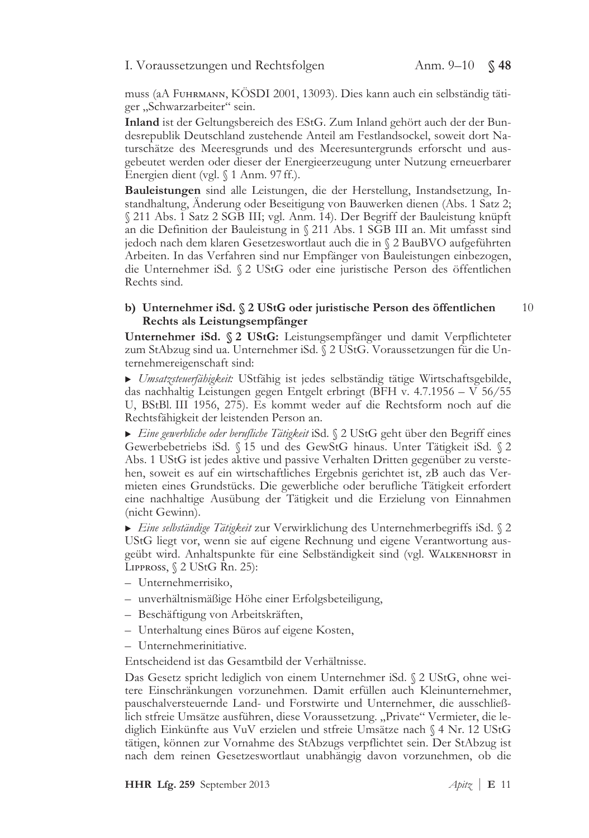### I. Voraussetzungen und Rechtsfolgen

muss (aA FUHRMANN, KÖSDI 2001, 13093). Dies kann auch ein selbständig tätiger "Schwarzarbeiter" sein.

Inland ist der Geltungsbereich des EStG. Zum Inland gehört auch der der Bundesrepublik Deutschland zustehende Anteil am Festlandsockel, soweit dort Naturschätze des Meeresgrunds und des Meeresuntergrunds erforscht und ausgebeutet werden oder dieser der Energieerzeugung unter Nutzung erneuerbarer Energien dient (vgl. § 1 Anm. 97 ff.).

Bauleistungen sind alle Leistungen, die der Herstellung, Instandsetzung, Instandhaltung, Änderung oder Beseitigung von Bauwerken dienen (Abs. 1 Satz 2; § 211 Abs. 1 Satz 2 SGB III; vgl. Anm. 14). Der Begriff der Bauleistung knüpft an die Definition der Bauleistung in § 211 Abs. 1 SGB III an. Mit umfasst sind jedoch nach dem klaren Gesetzeswortlaut auch die in § 2 BauBVO aufgeführten Arbeiten. In das Verfahren sind nur Empfänger von Bauleistungen einbezogen, die Unternehmer iSd. § 2 UStG oder eine juristische Person des öffentlichen Rechts sind.

#### b) Unternehmer iSd. § 2 UStG oder juristische Person des öffentlichen 10 Rechts als Leistungsempfänger

Unternehmer iSd. § 2 UStG: Leistungsempfänger und damit Verpflichteter zum StAbzug sind ua. Unternehmer iSd. § 2 UStG. Voraussetzungen für die Unternehmereigenschaft sind:

> Umsatzsteuerfähigkeit: UStfähig ist jedes selbständig tätige Wirtschaftsgebilde, das nachhaltig Leistungen gegen Entgelt erbringt (BFH v. 4.7.1956 – V 56/55 U, BStBl. III 1956, 275). Es kommt weder auf die Rechtsform noch auf die Rechtsfähigkeit der leistenden Person an.

Eine gewerbliche oder berufliche Tätigkeit iSd. § 2 UStG geht über den Begriff eines Gewerbebetriebs iSd. § 15 und des GewStG hinaus. Unter Tätigkeit iSd. § 2 Abs. 1 UStG ist jedes aktive und passive Verhalten Dritten gegenüber zu verstehen, soweit es auf ein wirtschaftliches Ergebnis gerichtet ist, zB auch das Vermieten eines Grundstücks. Die gewerbliche oder berufliche Tätigkeit erfordert eine nachhaltige Ausübung der Tätigkeit und die Erzielung von Einnahmen (nicht Gewinn).

Eine selbständige Tätigkeit zur Verwirklichung des Unternehmerbegriffs iSd. § 2 UStG liegt vor, wenn sie auf eigene Rechnung und eigene Verantwortung ausgeübt wird. Anhaltspunkte für eine Selbständigkeit sind (vgl. WALKENHORST in LIPPROSS,  $\S 2$  UStG Rn. 25):

- Unternehmerrisiko,
- unverhältnismäßige Höhe einer Erfolgsbeteiligung,
- Beschäftigung von Arbeitskräften,
- Unterhaltung eines Büros auf eigene Kosten,
- Unternehmerinitiative.

Entscheidend ist das Gesamtbild der Verhältnisse.

Das Gesetz spricht lediglich von einem Unternehmer iSd. § 2 UStG, ohne weitere Einschränkungen vorzunehmen. Damit erfüllen auch Kleinunternehmer, pauschalversteuernde Land- und Forstwirte und Unternehmer, die ausschließlich stfreie Umsätze ausführen, diese Voraussetzung. "Private" Vermieter, die lediglich Einkünfte aus VuV erzielen und stfreie Umsätze nach § 4 Nr. 12 UStG tätigen, können zur Vornahme des StAbzugs verpflichtet sein. Der StAbzug ist nach dem reinen Gesetzeswortlaut unabhängig davon vorzunehmen, ob die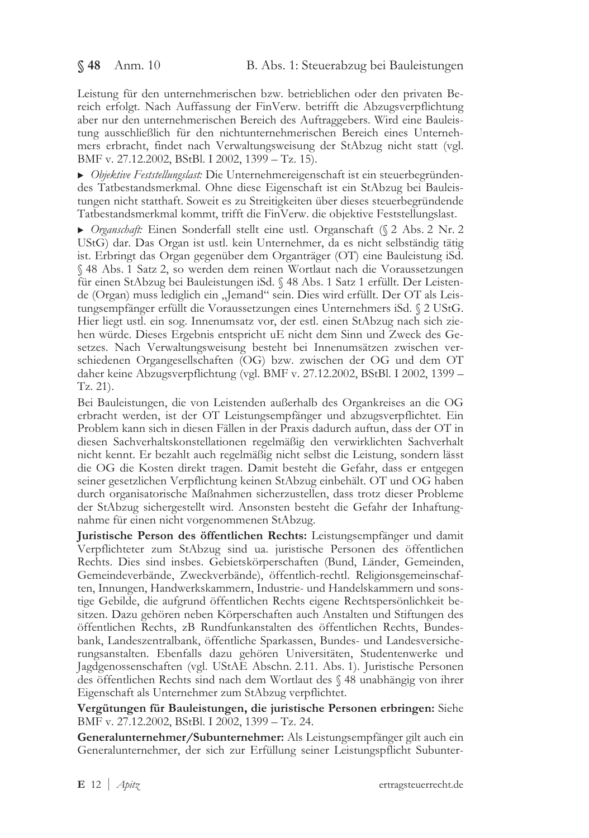Leistung für den unternehmerischen bzw. betrieblichen oder den privaten Bereich erfolgt. Nach Auffassung der FinVerw. betrifft die Abzugsverpflichtung aber nur den unternehmerischen Bereich des Auftraggebers. Wird eine Bauleistung ausschließlich für den nichtunternehmerischen Bereich eines Unternehmers erbracht, findet nach Verwaltungsweisung der StAbzug nicht statt (vgl. BMF v. 27.12.2002, BStBl. I 2002, 1399 - Tz. 15).

• Objektive Feststellungslast: Die Unternehmereigenschaft ist ein steuerbegründendes Tatbestandsmerkmal. Ohne diese Eigenschaft ist ein StAbzug bei Bauleistungen nicht statthaft. Soweit es zu Streitigkeiten über dieses steuerbegründende Tatbestandsmerkmal kommt, trifft die FinVerw. die objektive Feststellungslast.

▶ Organschaft: Einen Sonderfall stellt eine ustl. Organschaft (§ 2 Abs. 2 Nr. 2 UStG) dar. Das Organ ist ustl. kein Unternehmer, da es nicht selbständig tätig ist. Erbringt das Organ gegenüber dem Organträger (OT) eine Bauleistung iSd. § 48 Abs. 1 Satz 2, so werden dem reinen Wortlaut nach die Voraussetzungen für einen StAbzug bei Bauleistungen iSd. § 48 Abs. 1 Satz 1 erfüllt. Der Leistende (Organ) muss lediglich ein "Jemand" sein. Dies wird erfüllt. Der OT als Leistungsempfänger erfüllt die Voraussetzungen eines Unternehmers iSd. § 2 UStG. Hier liegt ustl. ein sog. Innenumsatz vor, der estl. einen StAbzug nach sich ziehen würde. Dieses Ergebnis entspricht uE nicht dem Sinn und Zweck des Gesetzes. Nach Verwaltungsweisung besteht bei Innenumsätzen zwischen verschiedenen Organgesellschaften (OG) bzw. zwischen der OG und dem OT daher keine Abzugsverpflichtung (vgl. BMF v. 27.12.2002, BStBl. I 2002, 1399 -Tz. 21).

Bei Bauleistungen, die von Leistenden außerhalb des Organkreises an die OG erbracht werden, ist der OT Leistungsempfänger und abzugsverpflichtet. Ein Problem kann sich in diesen Fällen in der Praxis dadurch auftun, dass der OT in diesen Sachverhaltskonstellationen regelmäßig den verwirklichten Sachverhalt nicht kennt. Er bezahlt auch regelmäßig nicht selbst die Leistung, sondern lässt die OG die Kosten direkt tragen. Damit besteht die Gefahr, dass er entgegen seiner gesetzlichen Verpflichtung keinen StAbzug einbehält. OT und OG haben durch organisatorische Maßnahmen sicherzustellen, dass trotz dieser Probleme der StAbzug sichergestellt wird. Ansonsten besteht die Gefahr der Inhaftungnahme für einen nicht vorgenommenen StAbzug.

Juristische Person des öffentlichen Rechts: Leistungsempfänger und damit Verpflichteter zum StAbzug sind ua. juristische Personen des öffentlichen Rechts. Dies sind insbes. Gebietskörperschaften (Bund, Länder, Gemeinden, Gemeindeverbände, Zweckverbände), öffentlich-rechtl. Religionsgemeinschaften, Innungen, Handwerkskammern, Industrie- und Handelskammern und sonstige Gebilde, die aufgrund öffentlichen Rechts eigene Rechtspersönlichkeit besitzen. Dazu gehören neben Körperschaften auch Anstalten und Stiftungen des öffentlichen Rechts, zB Rundfunkanstalten des öffentlichen Rechts, Bundesbank, Landeszentralbank, öffentliche Sparkassen, Bundes- und Landesversicherungsanstalten. Ebenfalls dazu gehören Universitäten, Studentenwerke und Jagdgenossenschaften (vgl. UStAE Abschn. 2.11. Abs. 1). Juristische Personen des öffentlichen Rechts sind nach dem Wortlaut des § 48 unabhängig von ihrer Eigenschaft als Unternehmer zum StAbzug verpflichtet.

Vergütungen für Bauleistungen, die juristische Personen erbringen: Siehe BMF v. 27.12.2002, BStBl. I 2002, 1399 - Tz. 24.

Generalunternehmer/Subunternehmer: Als Leistungsempfänger gilt auch ein Generalunternehmer, der sich zur Erfüllung seiner Leistungspflicht Subunter-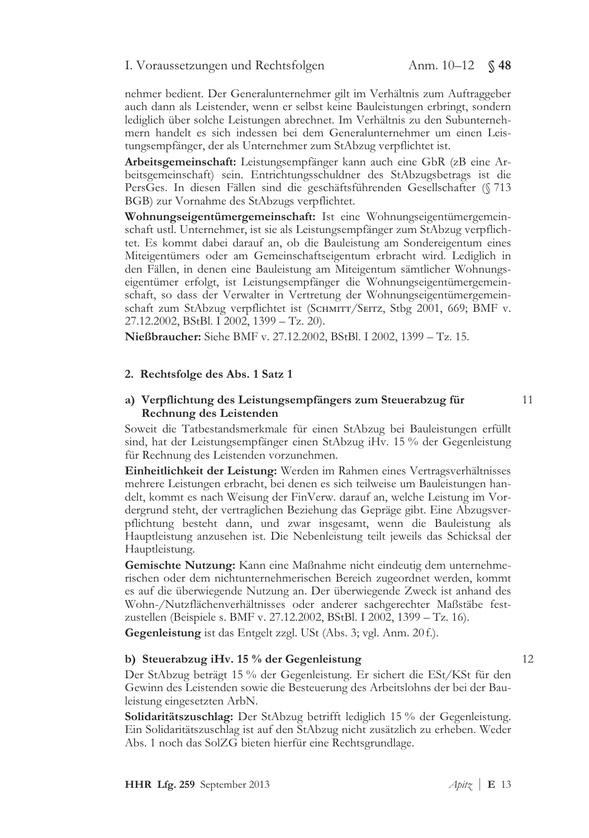# I. Voraussetzungen und Rechtsfolgen Anm. 10–12 § 48

nehmer bedient. Der Generalunternehmer gilt im Verhältnis zum Auftraggeber auch dann als Leistender, wenn er selbst keine Bauleistungen erbringt, sondern lediglich über solche Leistungen abrechnet. Im Verhältnis zu den Subunternehmern handelt es sich indessen bei dem Generalunternehmer um einen Leistungsempfänger, der als Unternehmer zum StAbzug verpflichtet ist.

Arbeitsgemeinschaft: Leistungsempfänger kann auch eine GbR (zB eine Arbeitsgemeinschaft) sein. Entrichtungsschuldner des StAbzugsbetrags ist die PersGes. In diesen Fällen sind die geschäftsführenden Gesellschafter (§ 713 BGB) zur Vornahme des StAbzugs verpflichtet.

Wohnungseigentümergemeinschaft: Ist eine Wohnungseigentümergemeinschaft ustl. Unternehmer, ist sie als Leistungsempfänger zum StAbzug verpflichtet. Es kommt dabei darauf an, ob die Bauleistung am Sondereigentum eines Miteigentümers oder am Gemeinschaftseigentum erbracht wird. Lediglich in den Fällen, in denen eine Bauleistung am Miteigentum sämtlicher Wohnungseigentümer erfolgt, ist Leistungsempfänger die Wohnungseigentümergemeinschaft, so dass der Verwalter in Vertretung der Wohnungseigentümergemeinschaft zum StAbzug verpflichtet ist (SCHMITT/SEITZ, Stbg 2001, 669; BMF v. 27.12.2002, BStBl. I 2002, 1399 – Tz. 20).

Nießbraucher: Siehe BMF v. 27.12.2002, BStBl. I 2002, 1399 – Tz. 15.

### 2. Rechtsfolge des Abs. 1 Satz 1

### a) Verpflichtung des Leistungsempfängers zum Steuerabzug für Rechnung des Leistenden

Soweit die Tatbestandsmerkmale für einen StAbzug bei Bauleistungen erfüllt sind, hat der Leistungsempfänger einen StAbzug iHv. 15 % der Gegenleistung für Rechnung des Leistenden vorzunehmen.

Einheitlichkeit der Leistung: Werden im Rahmen eines Vertragsverhältnisses mehrere Leistungen erbracht, bei denen es sich teilweise um Bauleistungen handelt, kommt es nach Weisung der FinVerw. darauf an, welche Leistung im Vordergrund steht, der vertraglichen Beziehung das Gepräge gibt. Eine Abzugsverpflichtung besteht dann, und zwar insgesamt, wenn die Bauleistung als Hauptleistung anzusehen ist. Die Nebenleistung teilt jeweils das Schicksal der Hauptleistung.

Gemischte Nutzung: Kann eine Maßnahme nicht eindeutig dem unternehmerischen oder dem nichtunternehmerischen Bereich zugeordnet werden, kommt es auf die überwiegende Nutzung an. Der überwiegende Zweck ist anhand des Wohn-/Nutzflächenverhältnisses oder anderer sachgerechter Maßstäbe festzustellen (Beispiele s. BMF v. 27.12.2002, BStBl. I 2002, 1399 – Tz. 16).

Gegenleistung ist das Entgelt zzgl. USt (Abs. 3; vgl. Anm. 20f.).

### b) Steuerabzug iHv. 15 % der Gegenleistung

Der StAbzug beträgt 15 % der Gegenleistung. Er sichert die ESt/KSt für den Gewinn des Leistenden sowie die Besteuerung des Arbeitslohns der bei der Bauleistung eingesetzten ArbN.

Solidaritätszuschlag: Der StAbzug betrifft lediglich 15 % der Gegenleistung. Ein Solidaritätszuschlag ist auf den StAbzug nicht zusätzlich zu erheben. Weder Abs. 1 noch das SolZG bieten hierfür eine Rechtsgrundlage.

 $11$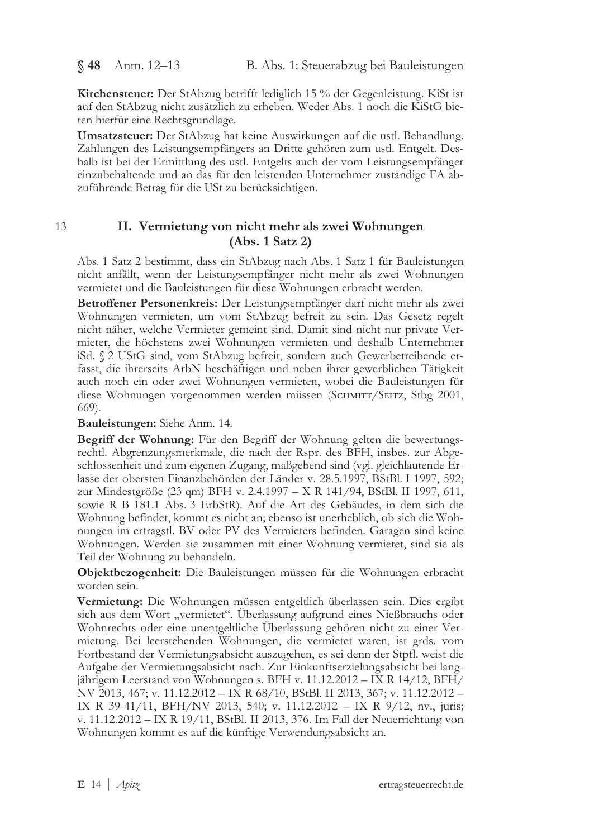$$48$  Anm. 12-13

Kirchensteuer: Der StAbzug betrifft lediglich 15 % der Gegenleistung. KiSt ist auf den StAbzug nicht zusätzlich zu erheben. Weder Abs. 1 noch die KiStG bieten hierfür eine Rechtsgrundlage.

Umsatzsteuer: Der StAbzug hat keine Auswirkungen auf die ustl. Behandlung. Zahlungen des Leistungsempfängers an Dritte gehören zum ustl. Entgelt. Deshalb ist bei der Ermittlung des ustl. Entgelts auch der vom Leistungsempfänger einzubehaltende und an das für den leistenden Unternehmer zuständige FA abzuführende Betrag für die USt zu berücksichtigen.

 $13$ 

# II. Vermietung von nicht mehr als zwei Wohnungen  $(Abs. 1 Satz 2)$

Abs. 1 Satz 2 bestimmt, dass ein StAbzug nach Abs. 1 Satz 1 für Bauleistungen nicht anfällt, wenn der Leistungsempfänger nicht mehr als zwei Wohnungen vermietet und die Bauleistungen für diese Wohnungen erbracht werden.

Betroffener Personenkreis: Der Leistungsempfänger darf nicht mehr als zwei Wohnungen vermieten, um vom StAbzug befreit zu sein. Das Gesetz regelt nicht näher, welche Vermieter gemeint sind. Damit sind nicht nur private Vermieter, die höchstens zwei Wohnungen vermieten und deshalb Unternehmer iSd. § 2 UStG sind, vom StAbzug befreit, sondern auch Gewerbetreibende erfasst, die ihrerseits ArbN beschäftigen und neben ihrer gewerblichen Tätigkeit auch noch ein oder zwei Wohnungen vermieten, wobei die Bauleistungen für diese Wohnungen vorgenommen werden müssen (SCHMITT/SEITZ, Stbg 2001, 669).

Bauleistungen: Siehe Anm. 14.

Begriff der Wohnung: Für den Begriff der Wohnung gelten die bewertungsrechtl. Abgrenzungsmerkmale, die nach der Rspr. des BFH, insbes. zur Abgeschlossenheit und zum eigenen Zugang, maßgebend sind (vgl. gleichlautende Erlasse der obersten Finanzbehörden der Länder v. 28.5.1997, BStBl. I 1997, 592; zur Mindestgröße (23 qm) BFH v. 2.4.1997 - X R 141/94, BStBl. II 1997, 611, sowie R B 181.1 Abs. 3 ErbStR). Auf die Art des Gebäudes, in dem sich die Wohnung befindet, kommt es nicht an; ebenso ist unerheblich, ob sich die Wohnungen im ertragstl. BV oder PV des Vermieters befinden. Garagen sind keine Wohnungen. Werden sie zusammen mit einer Wohnung vermietet, sind sie als Teil der Wohnung zu behandeln.

Objektbezogenheit: Die Bauleistungen müssen für die Wohnungen erbracht worden sein.

Vermietung: Die Wohnungen müssen entgeltlich überlassen sein. Dies ergibt sich aus dem Wort "vermietet". Überlassung aufgrund eines Nießbrauchs oder Wohnrechts oder eine unentgeltliche Uberlassung gehören nicht zu einer Vermietung. Bei leerstehenden Wohnungen, die vermietet waren, ist grds. vom Fortbestand der Vermietungsabsicht auszugehen, es sei denn der Stpfl. weist die Aufgabe der Vermietungsabsicht nach. Zur Einkunftserzielungsabsicht bei langjährigem Leerstand von Wohnungen s. BFH v. 11.12.2012 - IX R 14/12, BFH/ NV 2013, 467; v. 11.12.2012 - IX R 68/10, BStBl. II 2013, 367; v. 11.12.2012 -IX R 39-41/11, BFH/NV 2013, 540; v. 11.12.2012 – IX R 9/12, nv., juris; v. 11.12.2012 - IX R 19/11, BStBl. II 2013, 376. Im Fall der Neuerrichtung von Wohnungen kommt es auf die künftige Verwendungsabsicht an.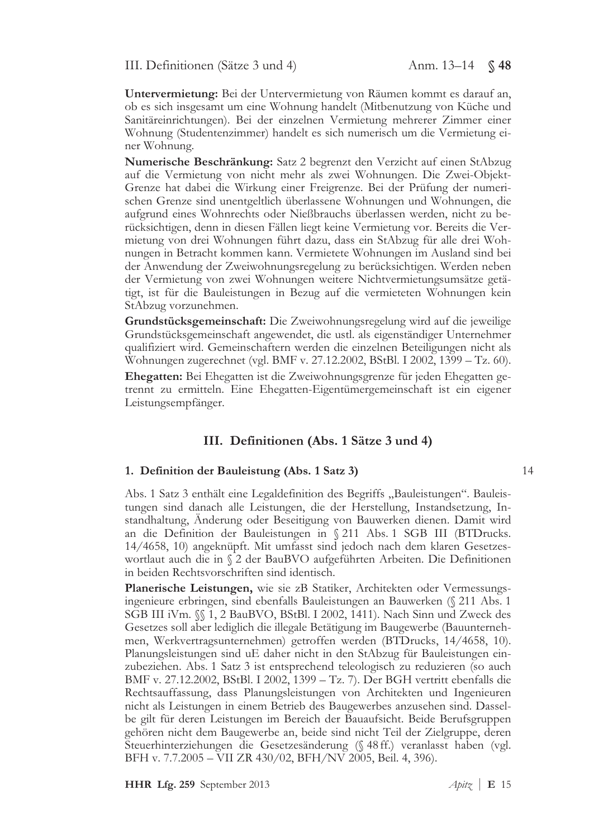III. Definitionen (Sätze 3 und 4)

Untervermietung: Bei der Untervermietung von Räumen kommt es darauf an, ob es sich insgesamt um eine Wohnung handelt (Mitbenutzung von Küche und Sanitäreinrichtungen). Bei der einzelnen Vermietung mehrerer Zimmer einer Wohnung (Studentenzimmer) handelt es sich numerisch um die Vermietung einer Wohnung.

Numerische Beschränkung: Satz 2 begrenzt den Verzicht auf einen StAbzug auf die Vermietung von nicht mehr als zwei Wohnungen. Die Zwei-Objekt-Grenze hat dabei die Wirkung einer Freigrenze. Bei der Prüfung der numerischen Grenze sind unentgeltlich überlassene Wohnungen und Wohnungen, die aufgrund eines Wohnrechts oder Nießbrauchs überlassen werden, nicht zu berücksichtigen, denn in diesen Fällen liegt keine Vermietung vor. Bereits die Vermietung von drei Wohnungen führt dazu, dass ein StAbzug für alle drei Wohnungen in Betracht kommen kann. Vermietete Wohnungen im Ausland sind bei der Anwendung der Zweiwohnungsregelung zu berücksichtigen. Werden neben der Vermietung von zwei Wohnungen weitere Nichtvermietungsumsätze getätigt, ist für die Bauleistungen in Bezug auf die vermieteten Wohnungen kein StAbzug vorzunehmen.

Grundstücksgemeinschaft: Die Zweiwohnungsregelung wird auf die jeweilige Grundstücksgemeinschaft angewendet, die ustl. als eigenständiger Unternehmer qualifiziert wird. Gemeinschaftern werden die einzelnen Beteiligungen nicht als Wohnungen zugerechnet (vgl. BMF v. 27.12.2002, BStBl. I 2002, 1399 – Tz. 60).

Ehegatten: Bei Ehegatten ist die Zweiwohnungsgrenze für jeden Ehegatten getrennt zu ermitteln. Eine Ehegatten-Eigentümergemeinschaft ist ein eigener Leistungsempfänger.

### III. Definitionen (Abs. 1 Sätze 3 und 4)

#### 1. Definition der Bauleistung (Abs. 1 Satz 3)

Abs. 1 Satz 3 enthält eine Legaldefinition des Begriffs "Bauleistungen". Bauleistungen sind danach alle Leistungen, die der Herstellung, Instandsetzung, Instandhaltung, Änderung oder Beseitigung von Bauwerken dienen. Damit wird an die Definition der Bauleistungen in § 211 Abs. 1 SGB III (BTDrucks. 14/4658, 10) angeknüpft. Mit umfasst sind jedoch nach dem klaren Gesetzeswortlaut auch die in § 2 der BauBVO aufgeführten Arbeiten. Die Definitionen in beiden Rechtsvorschriften sind identisch.

Planerische Leistungen, wie sie zB Statiker, Architekten oder Vermessungsingenieure erbringen, sind ebenfalls Bauleistungen an Bauwerken (§ 211 Abs. 1 SGB III iVm. §§ 1, 2 BauBVO, BStBl. I 2002, 1411). Nach Sinn und Zweck des Gesetzes soll aber lediglich die illegale Betätigung im Baugewerbe (Bauunternehmen, Werkvertragsunternehmen) getroffen werden (BTDrucks, 14/4658, 10). Planungsleistungen sind uE daher nicht in den StAbzug für Bauleistungen einzubeziehen. Abs. 1 Satz 3 ist entsprechend teleologisch zu reduzieren (so auch BMF v. 27.12.2002, BStBl. I 2002, 1399 - Tz. 7). Der BGH vertritt ebenfalls die Rechtsauffassung, dass Planungsleistungen von Architekten und Ingenieuren nicht als Leistungen in einem Betrieb des Baugewerbes anzusehen sind. Dasselbe gilt für deren Leistungen im Bereich der Bauaufsicht. Beide Berufsgruppen gehören nicht dem Baugewerbe an, beide sind nicht Teil der Zielgruppe, deren Steuerhinterziehungen die Gesetzesänderung (§ 48 ff.) veranlasst haben (vgl. BFH v. 7.7.2005 – VII ZR 430/02, BFH/NV 2005, Beil. 4, 396).

HHR Lfg. 259 September 2013

14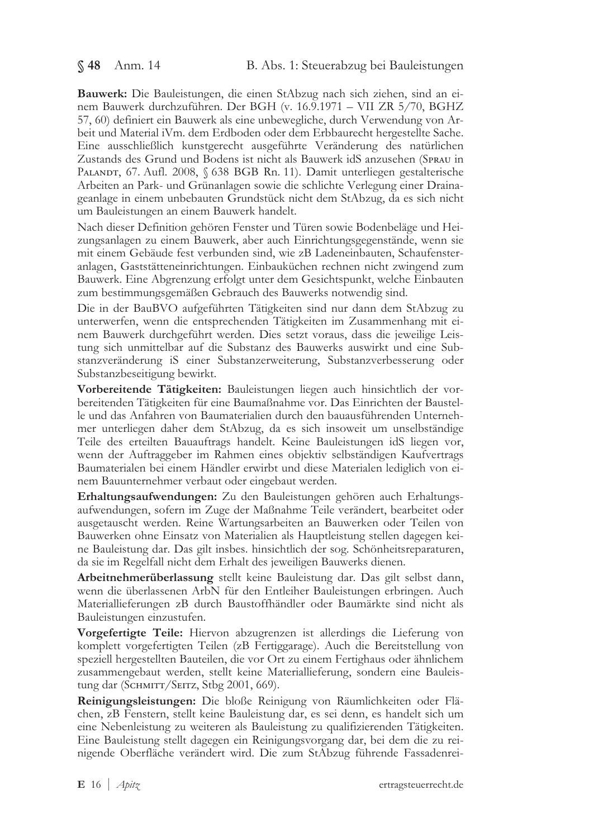§ 48 Anm. 14

Bauwerk: Die Bauleistungen, die einen StAbzug nach sich ziehen, sind an einem Bauwerk durchzuführen. Der BGH (v. 16.9.1971 - VII ZR 5/70, BGHZ 57, 60) definiert ein Bauwerk als eine unbewegliche, durch Verwendung von Arbeit und Material iVm. dem Erdboden oder dem Erbbaurecht hergestellte Sache. Eine ausschließlich kunstgerecht ausgeführte Veränderung des natürlichen Zustands des Grund und Bodens ist nicht als Bauwerk idS anzusehen (SPRAU in PALANDT, 67. Aufl. 2008, § 638 BGB Rn. 11). Damit unterliegen gestalterische Arbeiten an Park- und Grünanlagen sowie die schlichte Verlegung einer Drainageanlage in einem unbebauten Grundstück nicht dem StAbzug, da es sich nicht um Bauleistungen an einem Bauwerk handelt.

Nach dieser Definition gehören Fenster und Türen sowie Bodenbeläge und Heizungsanlagen zu einem Bauwerk, aber auch Einrichtungsgegenstände, wenn sie mit einem Gebäude fest verbunden sind, wie zB Ladeneinbauten, Schaufensteranlagen, Gaststätteneinrichtungen. Einbauküchen rechnen nicht zwingend zum Bauwerk. Eine Abgrenzung erfolgt unter dem Gesichtspunkt, welche Einbauten zum bestimmungsgemäßen Gebrauch des Bauwerks notwendig sind.

Die in der BauBVO aufgeführten Tätigkeiten sind nur dann dem StAbzug zu unterwerfen, wenn die entsprechenden Tätigkeiten im Zusammenhang mit einem Bauwerk durchgeführt werden. Dies setzt voraus, dass die jeweilige Leistung sich unmittelbar auf die Substanz des Bauwerks auswirkt und eine Substanzveränderung iS einer Substanzerweiterung, Substanzverbesserung oder Substanzbeseitigung bewirkt.

Vorbereitende Tätigkeiten: Bauleistungen liegen auch hinsichtlich der vorbereitenden Tätigkeiten für eine Baumaßnahme vor. Das Einrichten der Baustelle und das Anfahren von Baumaterialien durch den bauausführenden Unternehmer unterliegen daher dem StAbzug, da es sich insoweit um unselbständige Teile des erteilten Bauauftrags handelt. Keine Bauleistungen idS liegen vor, wenn der Auftraggeber im Rahmen eines objektiv selbständigen Kaufvertrags Baumaterialen bei einem Händler erwirbt und diese Materialen lediglich von einem Bauunternehmer verbaut oder eingebaut werden.

Erhaltungsaufwendungen: Zu den Bauleistungen gehören auch Erhaltungsaufwendungen, sofern im Zuge der Maßnahme Teile verändert, bearbeitet oder ausgetauscht werden. Reine Wartungsarbeiten an Bauwerken oder Teilen von Bauwerken ohne Einsatz von Materialien als Hauptleistung stellen dagegen keine Bauleistung dar. Das gilt insbes. hinsichtlich der sog. Schönheitsreparaturen, da sie im Regelfall nicht dem Erhalt des jeweiligen Bauwerks dienen.

Arbeitnehmerüberlassung stellt keine Bauleistung dar. Das gilt selbst dann, wenn die überlassenen ArbN für den Entleiher Bauleistungen erbringen. Auch Materiallieferungen zB durch Baustoffhändler oder Baumärkte sind nicht als Bauleistungen einzustufen.

Vorgefertigte Teile: Hiervon abzugrenzen ist allerdings die Lieferung von komplett vorgefertigten Teilen (zB Fertiggarage). Auch die Bereitstellung von speziell hergestellten Bauteilen, die vor Ort zu einem Fertighaus oder ähnlichem zusammengebaut werden, stellt keine Materiallieferung, sondern eine Bauleistung dar (SCHMITT/SEITZ, Stbg 2001, 669).

Reinigungsleistungen: Die bloße Reinigung von Räumlichkeiten oder Flächen, zB Fenstern, stellt keine Bauleistung dar, es sei denn, es handelt sich um eine Nebenleistung zu weiteren als Bauleistung zu qualifizierenden Tätigkeiten. Eine Bauleistung stellt dagegen ein Reinigungsvorgang dar, bei dem die zu reinigende Oberfläche verändert wird. Die zum StAbzug führende Fassadenrei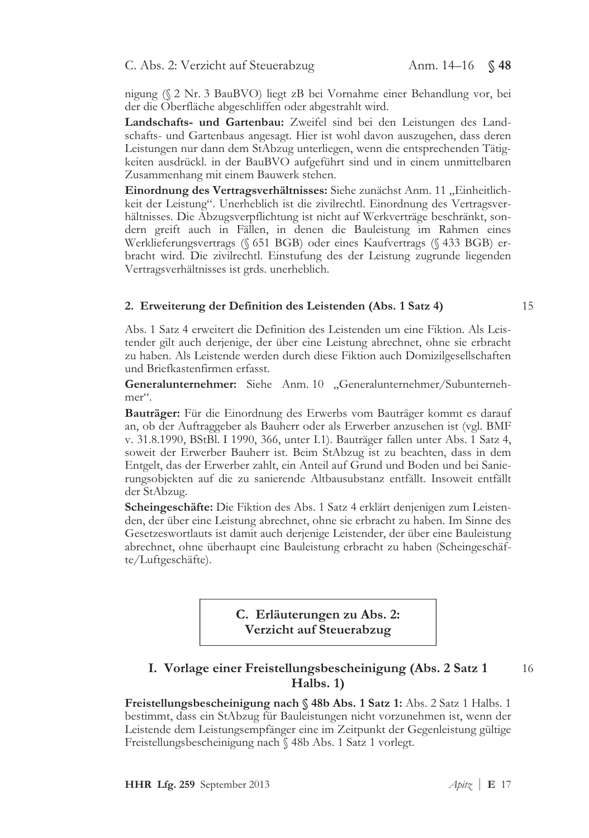nigung (§ 2 Nr. 3 BauBVO) liegt zB bei Vornahme einer Behandlung vor, bei der die Oberfläche abgeschliffen oder abgestrahlt wird.

Landschafts- und Gartenbau: Zweifel sind bei den Leistungen des Landschafts- und Gartenbaus angesagt. Hier ist wohl davon auszugehen, dass deren Leistungen nur dann dem StAbzug unterliegen, wenn die entsprechenden Tätigkeiten ausdrückl. in der BauBVO aufgeführt sind und in einem unmittelbaren Zusammenhang mit einem Bauwerk stehen.

Einordnung des Vertragsverhältnisses: Siehe zunächst Anm. 11 "Einheitlichkeit der Leistung". Unerheblich ist die zivilrechtl. Einordnung des Vertragsverhältnisses. Die Abzugsverpflichtung ist nicht auf Werkverträge beschränkt, sondern greift auch in Fällen, in denen die Bauleistung im Rahmen eines Werklieferungsvertrags (§ 651 BGB) oder eines Kaufvertrags (§ 433 BGB) erbracht wird. Die zivilrechtl. Einstufung des der Leistung zugrunde liegenden Vertragsverhältnisses ist grds. unerheblich.

### 2. Erweiterung der Definition des Leistenden (Abs. 1 Satz 4)

15

Abs. 1 Satz 4 erweitert die Definition des Leistenden um eine Fiktion. Als Leistender gilt auch derjenige, der über eine Leistung abrechnet, ohne sie erbracht zu haben. Als Leistende werden durch diese Fiktion auch Domizilgesellschaften und Briefkastenfirmen erfasst.

Generalunternehmer: Siehe Anm. 10 "Generalunternehmer/Subunternehmer".

Bauträger: Für die Einordnung des Erwerbs vom Bauträger kommt es darauf an, ob der Auftraggeber als Bauherr oder als Erwerber anzusehen ist (vgl. BMF v. 31.8.1990, BStBl. I 1990, 366, unter I.1). Bauträger fallen unter Abs. 1 Satz 4, soweit der Erwerber Bauherr ist. Beim StAbzug ist zu beachten, dass in dem Entgelt, das der Erwerber zahlt, ein Anteil auf Grund und Boden und bei Sanierungsobjekten auf die zu sanierende Altbausubstanz entfällt. Insoweit entfällt der StAbzug.

Scheingeschäfte: Die Fiktion des Abs. 1 Satz 4 erklärt denjenigen zum Leistenden, der über eine Leistung abrechnet, ohne sie erbracht zu haben. Im Sinne des Gesetzeswortlauts ist damit auch derjenige Leistender, der über eine Bauleistung abrechnet, ohne überhaupt eine Bauleistung erbracht zu haben (Scheingeschäfte/Luftgeschäfte).

> C. Erläuterungen zu Abs. 2: Verzicht auf Steuerabzug

# I. Vorlage einer Freistellungsbescheinigung (Abs. 2 Satz 1 Halbs. 1)

16

Freistellungsbescheinigung nach § 48b Abs. 1 Satz 1: Abs. 2 Satz 1 Halbs. 1 bestimmt, dass ein StAbzug für Bauleistungen nicht vorzunehmen ist, wenn der Leistende dem Leistungsempfänger eine im Zeitpunkt der Gegenleistung gültige Freistellungsbescheinigung nach § 48b Abs. 1 Satz 1 vorlegt.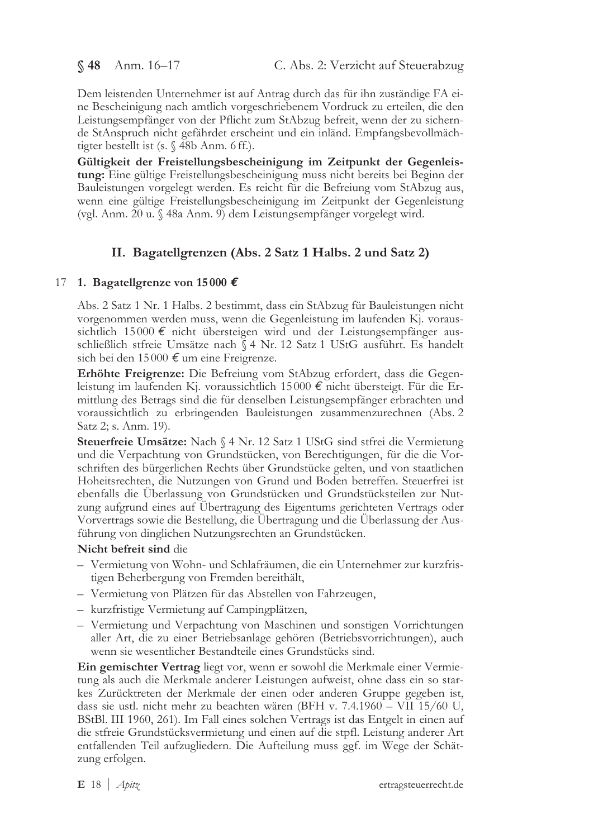§48 Anm. 16-17

Dem leistenden Unternehmer ist auf Antrag durch das für ihn zuständige FA eine Bescheinigung nach amtlich vorgeschriebenem Vordruck zu erteilen, die den Leistungsempfänger von der Pflicht zum StAbzug befreit, wenn der zu sichernde StAnspruch nicht gefährdet erscheint und ein inländ. Empfangsbevollmächtigter bestellt ist (s. § 48b Anm. 6 ff.).

Gültigkeit der Freistellungsbescheinigung im Zeitpunkt der Gegenleistung: Eine gültige Freistellungsbescheinigung muss nicht bereits bei Beginn der Bauleistungen vorgelegt werden. Es reicht für die Befreiung vom StAbzug aus, wenn eine gültige Freistellungsbescheinigung im Zeitpunkt der Gegenleistung (vgl. Anm. 20 u. § 48a Anm. 9) dem Leistungsempfänger vorgelegt wird.

# II. Bagatellgrenzen (Abs. 2 Satz 1 Halbs. 2 und Satz 2)

# 17 1. Bagatellgrenze von 15000  $\epsilon$

Abs. 2 Satz 1 Nr. 1 Halbs. 2 bestimmt, dass ein StAbzug für Bauleistungen nicht vorgenommen werden muss, wenn die Gegenleistung im laufenden Kj. voraussichtlich 15000  $\epsilon$  nicht übersteigen wird und der Leistungsempfänger ausschließlich stfreie Umsätze nach § 4 Nr. 12 Satz 1 UStG ausführt. Es handelt sich bei den 15000  $\epsilon$  um eine Freigrenze.

Erhöhte Freigrenze: Die Befreiung vom StAbzug erfordert, dass die Gegenleistung im laufenden Kj. voraussichtlich 15000  $\epsilon$  nicht übersteigt. Für die Ermittlung des Betrags sind die für denselben Leistungsempfänger erbrachten und voraussichtlich zu erbringenden Bauleistungen zusammenzurechnen (Abs. 2 Satz 2; s. Anm. 19).

Steuerfreie Umsätze: Nach § 4 Nr. 12 Satz 1 UStG sind stfrei die Vermietung und die Verpachtung von Grundstücken, von Berechtigungen, für die die Vorschriften des bürgerlichen Rechts über Grundstücke gelten, und von staatlichen Hoheitsrechten, die Nutzungen von Grund und Boden betreffen. Steuerfrei ist ebenfalls die Überlassung von Grundstücken und Grundstücksteilen zur Nutzung aufgrund eines auf Übertragung des Eigentums gerichteten Vertrags oder Vorvertrags sowie die Bestellung, die Übertragung und die Überlassung der Ausführung von dinglichen Nutzungsrechten an Grundstücken.

# Nicht befreit sind die

- Vermietung von Wohn- und Schlafräumen, die ein Unternehmer zur kurzfristigen Beherbergung von Fremden bereithält,
- Vermietung von Plätzen für das Abstellen von Fahrzeugen,
- kurzfristige Vermietung auf Campingplätzen,
- Vermietung und Verpachtung von Maschinen und sonstigen Vorrichtungen aller Art, die zu einer Betriebsanlage gehören (Betriebsvorrichtungen), auch wenn sie wesentlicher Bestandteile eines Grundstücks sind.

Ein gemischter Vertrag liegt vor, wenn er sowohl die Merkmale einer Vermietung als auch die Merkmale anderer Leistungen aufweist, ohne dass ein so starkes Zurücktreten der Merkmale der einen oder anderen Gruppe gegeben ist, dass sie ustl. nicht mehr zu beachten wären (BFH v. 7.4.1960 – VII 15/60 U, BStBl. III 1960, 261). Im Fall eines solchen Vertrags ist das Entgelt in einen auf die stfreie Grundstücksvermietung und einen auf die stpfl. Leistung anderer Art entfallenden Teil aufzugliedern. Die Aufteilung muss ggf. im Wege der Schätzung erfolgen.

 $E$  18 *Apitz*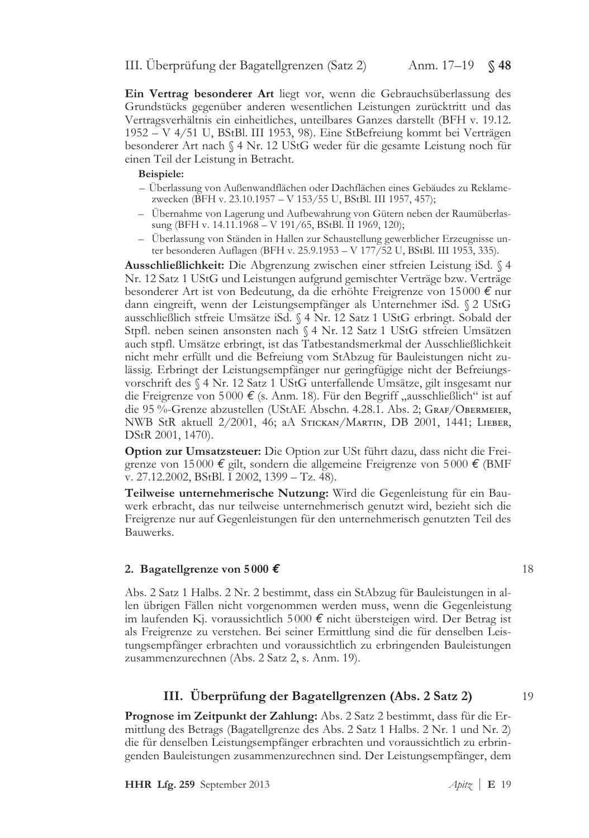Ein Vertrag besonderer Art liegt vor, wenn die Gebrauchsüberlassung des Grundstücks gegenüber anderen wesentlichen Leistungen zurücktritt und das Vertragsverhältnis ein einheitliches, unteilbares Ganzes darstellt (BFH v. 19.12. 1952 – V 4/51 U, BStBl. III 1953, 98). Eine StBefreiung kommt bei Verträgen besonderer Art nach § 4 Nr. 12 UStG weder für die gesamte Leistung noch für einen Teil der Leistung in Betracht.

### Beispiele:

- Überlassung von Außenwandflächen oder Dachflächen eines Gebäudes zu Reklamezwecken (BFH v. 23.10.1957 – V 153/55 U, BStBl. III 1957, 457);
- Übernahme von Lagerung und Aufbewahrung von Gütern neben der Raumüberlassung (BFH v. 14.11.1968 - V 191/65, BStBl. II 1969, 120);
- Überlassung von Ständen in Hallen zur Schaustellung gewerblicher Erzeugnisse unter besonderen Auflagen (BFH v. 25.9.1953 – V 177/52 U, BStBl. III 1953, 335).

Ausschließlichkeit: Die Abgrenzung zwischen einer stfreien Leistung iSd. § 4 Nr. 12 Satz 1 UStG und Leistungen aufgrund gemischter Verträge bzw. Verträge besonderer Art ist von Bedeutung, da die erhöhte Freigrenze von 15000 € nur dann eingreift, wenn der Leistungsempfänger als Unternehmer iSd. § 2 UStG ausschließlich stfreie Umsätze iSd. § 4 Nr. 12 Satz 1 UStG erbringt. Sobald der Stpfl. neben seinen ansonsten nach § 4 Nr. 12 Satz 1 UStG stfreien Umsätzen auch stpfl. Umsätze erbringt, ist das Tatbestandsmerkmal der Ausschließlichkeit nicht mehr erfüllt und die Befreiung vom StAbzug für Bauleistungen nicht zulässig. Erbringt der Leistungsempfänger nur geringfügige nicht der Befreiungsvorschrift des § 4 Nr. 12 Satz 1 UStG unterfallende Umsätze, gilt insgesamt nur die Freigrenze von 5000 € (s. Anm. 18). Für den Begriff "ausschließlich" ist auf die 95 %-Grenze abzustellen (UStAE Abschn. 4.28.1. Abs. 2; GRAF/OBERMEIER, NWB StR aktuell 2/2001, 46; aA STICKAN/MARTIN, DB 2001, 1441; LIEBER, DStR 2001, 1470).

Option zur Umsatzsteuer: Die Option zur USt führt dazu, dass nicht die Freigrenze von 15000 € gilt, sondern die allgemeine Freigrenze von 5000 € (BMF v. 27.12.2002, BStBl. I 2002, 1399 - Tz. 48).

Teilweise unternehmerische Nutzung: Wird die Gegenleistung für ein Bauwerk erbracht, das nur teilweise unternehmerisch genutzt wird, bezieht sich die Freigrenze nur auf Gegenleistungen für den unternehmerisch genutzten Teil des Bauwerks.

### 2. Bagatellgrenze von 5000  $\epsilon$

Abs. 2 Satz 1 Halbs. 2 Nr. 2 bestimmt, dass ein StAbzug für Bauleistungen in allen übrigen Fällen nicht vorgenommen werden muss, wenn die Gegenleistung im laufenden Kj. voraussichtlich 5000  $\epsilon$  nicht übersteigen wird. Der Betrag ist als Freigrenze zu verstehen. Bei seiner Ermittlung sind die für denselben Leistungsempfänger erbrachten und voraussichtlich zu erbringenden Bauleistungen zusammenzurechnen (Abs. 2 Satz 2, s. Anm. 19).

# III. Überprüfung der Bagatellgrenzen (Abs. 2 Satz 2)

**Prognose im Zeitpunkt der Zahlung:** Abs. 2 Satz 2 bestimmt, dass für die Ermittlung des Betrags (Bagatellgrenze des Abs. 2 Satz 1 Halbs. 2 Nr. 1 und Nr. 2) die für denselben Leistungsempfänger erbrachten und voraussichtlich zu erbringenden Bauleistungen zusammenzurechnen sind. Der Leistungsempfänger, dem

18

19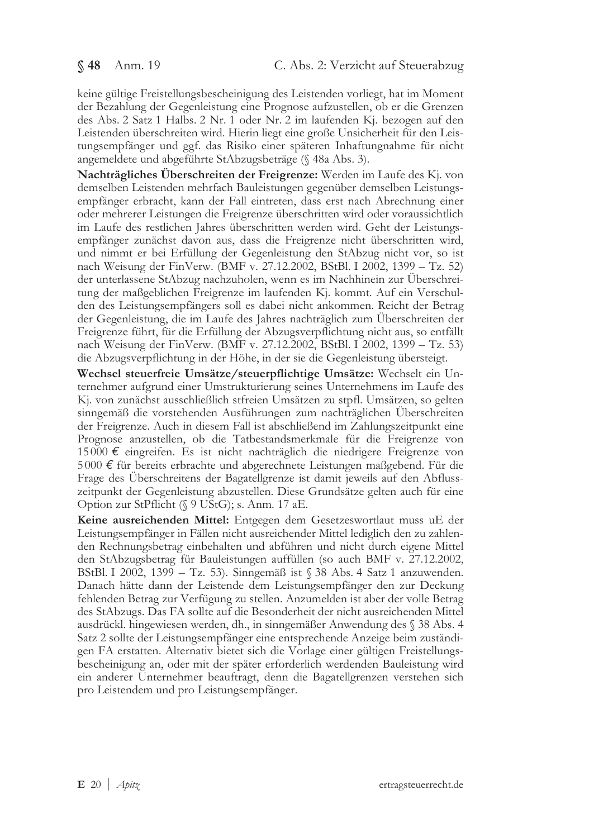keine gültige Freistellungsbescheinigung des Leistenden vorliegt, hat im Moment der Bezahlung der Gegenleistung eine Prognose aufzustellen, ob er die Grenzen des Abs. 2 Satz 1 Halbs. 2 Nr. 1 oder Nr. 2 im laufenden Kj. bezogen auf den Leistenden überschreiten wird. Hierin liegt eine große Unsicherheit für den Leistungsempfänger und ggf. das Risiko einer späteren Inhaftungnahme für nicht angemeldete und abgeführte StAbzugsbeträge (§ 48a Abs. 3).

Nachträgliches Überschreiten der Freigrenze: Werden im Laufe des Kj. von demselben Leistenden mehrfach Bauleistungen gegenüber demselben Leistungsempfänger erbracht, kann der Fall eintreten, dass erst nach Abrechnung einer oder mehrerer Leistungen die Freigrenze überschritten wird oder voraussichtlich im Laufe des restlichen Jahres überschritten werden wird. Geht der Leistungsempfänger zunächst davon aus, dass die Freigrenze nicht überschritten wird, und nimmt er bei Erfüllung der Gegenleistung den StAbzug nicht vor, so ist nach Weisung der FinVerw. (BMF v. 27.12.2002, BStBl. I 2002, 1399 – Tz. 52) der unterlassene StAbzug nachzuholen, wenn es im Nachhinein zur Überschreitung der maßgeblichen Freigrenze im laufenden Kj. kommt. Auf ein Verschulden des Leistungsempfängers soll es dabei nicht ankommen. Reicht der Betrag der Gegenleistung, die im Laufe des Jahres nachträglich zum Überschreiten der Freigrenze führt, für die Erfüllung der Abzugsverpflichtung nicht aus, so entfällt nach Weisung der FinVerw. (BMF v. 27.12.2002, BStBl. I 2002, 1399 – Tz. 53) die Abzugsverpflichtung in der Höhe, in der sie die Gegenleistung übersteigt.

Wechsel steuerfreie Umsätze/steuerpflichtige Umsätze: Wechselt ein Unternehmer aufgrund einer Umstrukturierung seines Unternehmens im Laufe des Kj. von zunächst ausschließlich stfreien Umsätzen zu stpfl. Umsätzen, so gelten sinngemäß die vorstehenden Ausführungen zum nachträglichen Überschreiten der Freigrenze. Auch in diesem Fall ist abschließend im Zahlungszeitpunkt eine Prognose anzustellen, ob die Tatbestandsmerkmale für die Freigrenze von 15000 € eingreifen. Es ist nicht nachträglich die niedrigere Freigrenze von  $5000 \notin$  für bereits erbrachte und abgerechnete Leistungen maßgebend. Für die Frage des Uberschreitens der Bagatellgrenze ist damit jeweils auf den Abflusszeitpunkt der Gegenleistung abzustellen. Diese Grundsätze gelten auch für eine Option zur StPflicht (§ 9 UStG); s. Anm. 17 aE.

Keine ausreichenden Mittel: Entgegen dem Gesetzeswortlaut muss uE der Leistungsempfänger in Fällen nicht ausreichender Mittel lediglich den zu zahlenden Rechnungsbetrag einbehalten und abführen und nicht durch eigene Mittel den StAbzugsbetrag für Bauleistungen auffüllen (so auch BMF v. 27.12.2002, BStBl. I 2002, 1399 – Tz. 53). Sinngemäß ist § 38 Abs. 4 Satz 1 anzuwenden. Danach hätte dann der Leistende dem Leistungsempfänger den zur Deckung fehlenden Betrag zur Verfügung zu stellen. Anzumelden ist aber der volle Betrag des StAbzugs. Das FA sollte auf die Besonderheit der nicht ausreichenden Mittel ausdrückl. hingewiesen werden, dh., in sinngemäßer Anwendung des  $\S$  38 Abs. 4 Satz 2 sollte der Leistungsempfänger eine entsprechende Anzeige beim zuständigen FA erstatten. Alternativ bietet sich die Vorlage einer gültigen Freistellungsbescheinigung an, oder mit der später erforderlich werdenden Bauleistung wird ein anderer Unternehmer beauftragt, denn die Bagatellgrenzen verstehen sich pro Leistendem und pro Leistungsempfänger.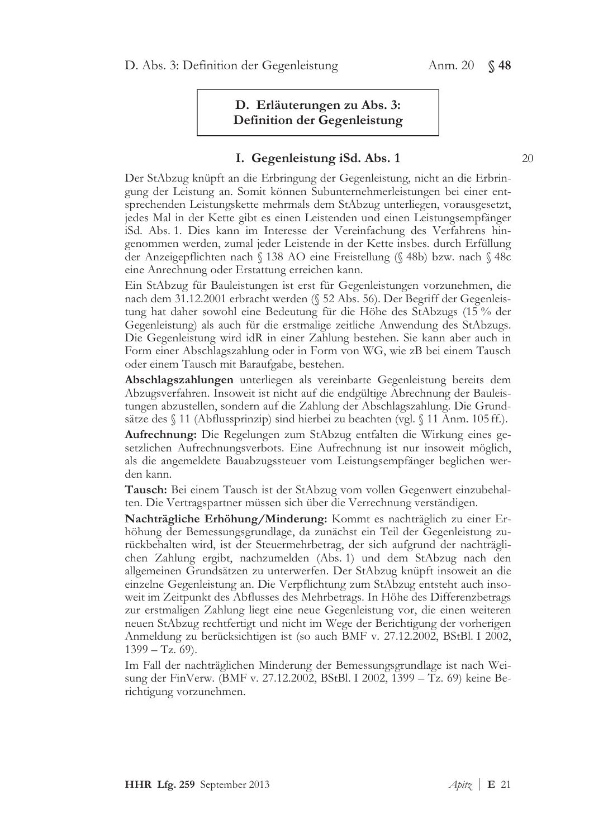# D. Erläuterungen zu Abs. 3: Definition der Gegenleistung

# I. Gegenleistung iSd. Abs. 1

Der StAbzug knüpft an die Erbringung der Gegenleistung, nicht an die Erbringung der Leistung an. Somit können Subunternehmerleistungen bei einer entsprechenden Leistungskette mehrmals dem StAbzug unterliegen, vorausgesetzt, jedes Mal in der Kette gibt es einen Leistenden und einen Leistungsempfänger iSd. Abs. 1. Dies kann im Interesse der Vereinfachung des Verfahrens hingenommen werden, zumal jeder Leistende in der Kette insbes. durch Erfüllung der Anzeigepflichten nach § 138 AO eine Freistellung (§ 48b) bzw. nach § 48c eine Anrechnung oder Erstattung erreichen kann.

Ein StAbzug für Bauleistungen ist erst für Gegenleistungen vorzunehmen, die nach dem 31.12.2001 erbracht werden (§ 52 Abs. 56). Der Begriff der Gegenleistung hat daher sowohl eine Bedeutung für die Höhe des StAbzugs (15 % der Gegenleistung) als auch für die erstmalige zeitliche Anwendung des StAbzugs. Die Gegenleistung wird idR in einer Zahlung bestehen. Sie kann aber auch in Form einer Abschlagszahlung oder in Form von WG, wie zB bei einem Tausch oder einem Tausch mit Baraufgabe, bestehen.

Abschlagszahlungen unterliegen als vereinbarte Gegenleistung bereits dem Abzugsverfahren. Insoweit ist nicht auf die endgültige Abrechnung der Bauleistungen abzustellen, sondern auf die Zahlung der Abschlagszahlung. Die Grundsätze des § 11 (Abflussprinzip) sind hierbei zu beachten (vgl. § 11 Anm. 105 ff.).

Aufrechnung: Die Regelungen zum StAbzug entfalten die Wirkung eines gesetzlichen Aufrechnungsverbots. Eine Aufrechnung ist nur insoweit möglich, als die angemeldete Bauabzugssteuer vom Leistungsempfänger beglichen werden kann.

Tausch: Bei einem Tausch ist der StAbzug vom vollen Gegenwert einzubehalten. Die Vertragspartner müssen sich über die Verrechnung verständigen.

Nachträgliche Erhöhung/Minderung: Kommt es nachträglich zu einer Erhöhung der Bemessungsgrundlage, da zunächst ein Teil der Gegenleistung zurückbehalten wird, ist der Steuermehrbetrag, der sich aufgrund der nachträglichen Zahlung ergibt, nachzumelden (Abs. 1) und dem StAbzug nach den allgemeinen Grundsätzen zu unterwerfen. Der StAbzug knüpft insoweit an die einzelne Gegenleistung an. Die Verpflichtung zum StAbzug entsteht auch insoweit im Zeitpunkt des Abflusses des Mehrbetrags. In Höhe des Differenzbetrags zur erstmaligen Zahlung liegt eine neue Gegenleistung vor, die einen weiteren neuen StAbzug rechtfertigt und nicht im Wege der Berichtigung der vorherigen Anmeldung zu berücksichtigen ist (so auch BMF v. 27.12.2002, BStBl. I 2002,  $1399 - Tz.69$ .

Im Fall der nachträglichen Minderung der Bemessungsgrundlage ist nach Weisung der FinVerw. (BMF v. 27.12.2002, BStBl. I 2002, 1399 – Tz. 69) keine Berichtigung vorzunehmen.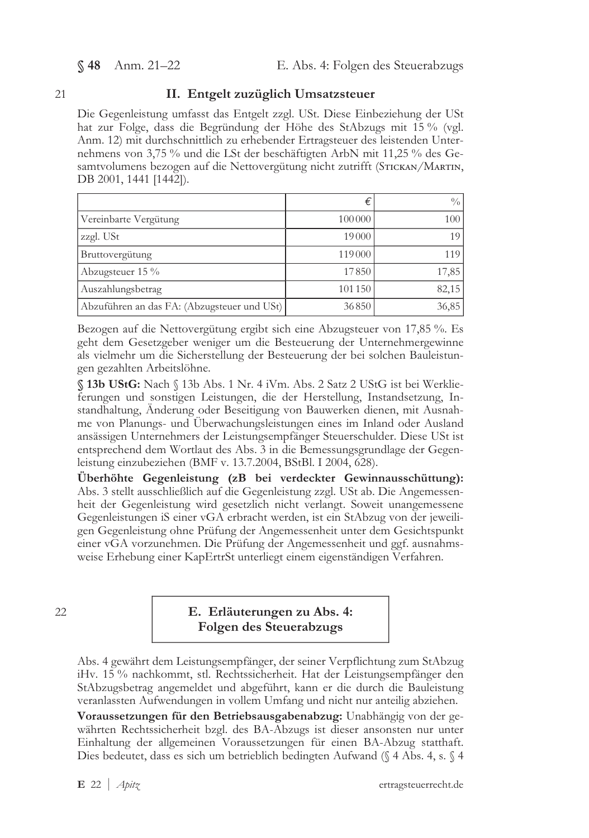§ 48 Anm. 21-22

#### 21

### II. Entgelt zuzüglich Umsatzsteuer

Die Gegenleistung umfasst das Entgelt zzgl. USt. Diese Einbeziehung der USt hat zur Folge, dass die Begründung der Höhe des StAbzugs mit 15 % (vgl. Anm. 12) mit durchschnittlich zu erhebender Ertragsteuer des leistenden Unternehmens von 3,75 % und die LSt der beschäftigten ArbN mit 11,25 % des Gesamtvolumens bezogen auf die Nettovergütung nicht zutrifft (STICKAN/MARTIN, DB 2001, 1441 [1442]).

|                                             | €      | 0/0              |
|---------------------------------------------|--------|------------------|
| Vereinbarte Vergütung                       | 100000 | 100 <sup>1</sup> |
| zzgl. USt                                   | 19000  | 19 <sup>1</sup>  |
| <b>Bruttovergütung</b>                      | 119000 | 119              |
| Abzugsteuer 15 %                            | 17850  | 17,85            |
| Auszahlungsbetrag                           | 101150 | 82,15            |
| Abzuführen an das FA: (Abzugsteuer und USt) | 36850  | 36,85            |

Bezogen auf die Nettovergütung ergibt sich eine Abzugsteuer von 17,85 %. Es geht dem Gesetzgeber weniger um die Besteuerung der Unternehmergewinne als vielmehr um die Sicherstellung der Besteuerung der bei solchen Bauleistungen gezahlten Arbeitslöhne.

§ 13b UStG: Nach § 13b Abs. 1 Nr. 4 iVm. Abs. 2 Satz 2 UStG ist bei Werklieferungen und sonstigen Leistungen, die der Herstellung, Instandsetzung, Instandhaltung, Änderung oder Beseitigung von Bauwerken dienen, mit Ausnahme von Planungs- und Überwachungsleistungen eines im Inland oder Ausland ansässigen Unternehmers der Leistungsempfänger Steuerschulder. Diese USt ist entsprechend dem Wortlaut des Abs. 3 in die Bemessungsgrundlage der Gegenleistung einzubeziehen (BMF v. 13.7.2004, BStBl. I 2004, 628).

Überhöhte Gegenleistung (zB bei verdeckter Gewinnausschüttung): Abs. 3 stellt ausschließlich auf die Gegenleistung zzgl. USt ab. Die Angemessenheit der Gegenleistung wird gesetzlich nicht verlangt. Soweit unangemessene Gegenleistungen iS einer vGA erbracht werden, ist ein StAbzug von der jeweiligen Gegenleistung ohne Prüfung der Angemessenheit unter dem Gesichtspunkt einer vGA vorzunehmen. Die Prüfung der Angemessenheit und ggf. ausnahmsweise Erhebung einer KapErtrSt unterliegt einem eigenständigen Verfahren.

22

# E. Erläuterungen zu Abs. 4: **Folgen des Steuerabzugs**

Abs. 4 gewährt dem Leistungsempfänger, der seiner Verpflichtung zum StAbzug iHv. 15 % nachkommt, stl. Rechtssicherheit. Hat der Leistungsempfänger den StAbzugsbetrag angemeldet und abgeführt, kann er die durch die Bauleistung veranlassten Aufwendungen in vollem Umfang und nicht nur anteilig abziehen.

Voraussetzungen für den Betriebsausgabenabzug: Unabhängig von der gewährten Rechtssicherheit bzgl. des BA-Abzugs ist dieser ansonsten nur unter Einhaltung der allgemeinen Voraussetzungen für einen BA-Abzug statthaft. Dies bedeutet, dass es sich um betrieblich bedingten Aufwand (§ 4 Abs. 4, s. § 4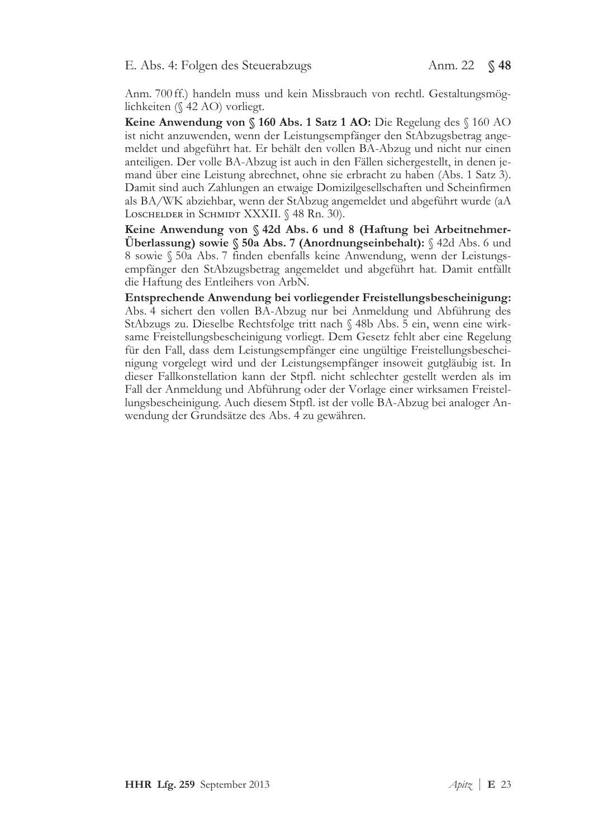Anm. 700ff.) handeln muss und kein Missbrauch von rechtl. Gestaltungsmöglichkeiten (§ 42 AO) vorliegt.

Keine Anwendung von § 160 Abs. 1 Satz 1 AO: Die Regelung des § 160 AO ist nicht anzuwenden, wenn der Leistungsempfänger den StAbzugsbetrag angemeldet und abgeführt hat. Er behält den vollen BA-Abzug und nicht nur einen anteiligen. Der volle BA-Abzug ist auch in den Fällen sichergestellt, in denen jemand über eine Leistung abrechnet, ohne sie erbracht zu haben (Abs. 1 Satz 3). Damit sind auch Zahlungen an etwaige Domizilgesellschaften und Scheinfirmen als BA/WK abziehbar, wenn der StAbzug angemeldet und abgeführt wurde (aA LOSCHELDER in SCHMIDT XXXII. § 48 Rn. 30).

Keine Anwendung von § 42d Abs. 6 und 8 (Haftung bei Arbeitnehmer-Überlassung) sowie  $\S$  50a Abs. 7 (Anordnungseinbehalt):  $\S$  42d Abs. 6 und 8 sowie § 50a Abs. 7 finden ebenfalls keine Anwendung, wenn der Leistungsempfänger den StAbzugsbetrag angemeldet und abgeführt hat. Damit entfällt die Haftung des Entleihers von ArbN.

Entsprechende Anwendung bei vorliegender Freistellungsbescheinigung: Abs. 4 sichert den vollen BA-Abzug nur bei Anmeldung und Abführung des StAbzugs zu. Dieselbe Rechtsfolge tritt nach § 48b Abs. 5 ein, wenn eine wirksame Freistellungsbescheinigung vorliegt. Dem Gesetz fehlt aber eine Regelung für den Fall, dass dem Leistungsempfänger eine ungültige Freistellungsbescheinigung vorgelegt wird und der Leistungsempfänger insoweit gutgläubig ist. In dieser Fallkonstellation kann der Stpfl. nicht schlechter gestellt werden als im Fall der Anmeldung und Abführung oder der Vorlage einer wirksamen Freistellungsbescheinigung. Auch diesem Stpfl. ist der volle BA-Abzug bei analoger Anwendung der Grundsätze des Abs. 4 zu gewähren.